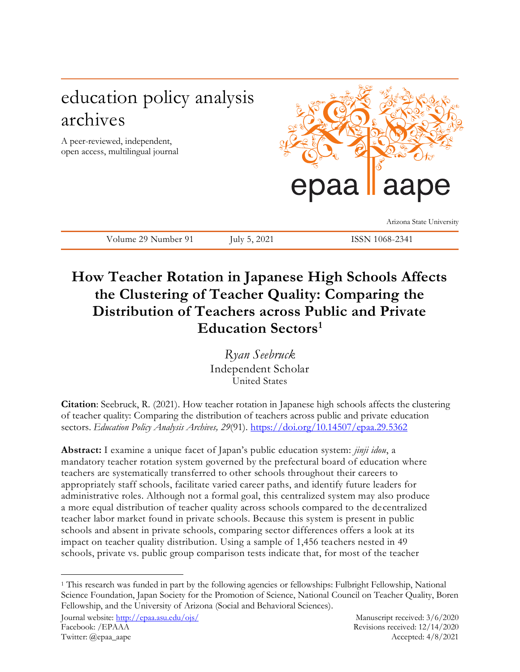# education policy analysis archives

A peer-reviewed, independent, open access, multilingual journal



Arizona State University

Volume 29 Number 91 July 5, 2021 ISSN 1068-2341

# **How Teacher Rotation in Japanese High Schools Affects the Clustering of Teacher Quality: Comparing the Distribution of Teachers across Public and Private Education Sectors<sup>1</sup>**

*Ryan Seebruck* Independent Scholar United States

**Citation**: Seebruck, R. (2021). How teacher rotation in Japanese high schools affects the clustering of teacher quality: Comparing the distribution of teachers across public and private education sectors. *Education Policy Analysis Archives, 29*(91). <https://doi.org/10.14507/epaa.29.5362>

**Abstract:** I examine a unique facet of Japan's public education system: *jinji idou*, a mandatory teacher rotation system governed by the prefectural board of education where teachers are systematically transferred to other schools throughout their careers to appropriately staff schools, facilitate varied career paths, and identify future leaders for administrative roles. Although not a formal goal, this centralized system may also produce a more equal distribution of teacher quality across schools compared to the de centralized teacher labor market found in private schools. Because this system is present in public schools and absent in private schools, comparing sector differences offers a look at its impact on teacher quality distribution. Using a sample of 1,456 teachers nested in 49 schools, private vs. public group comparison tests indicate that, for most of the teacher

 $\overline{a}$ 

<sup>1</sup> This research was funded in part by the following agencies or fellowships: Fulbright Fellowship, National Science Foundation, Japan Society for the Promotion of Science, National Council on Teacher Quality, Boren Fellowship, and the University of Arizona (Social and Behavioral Sciences).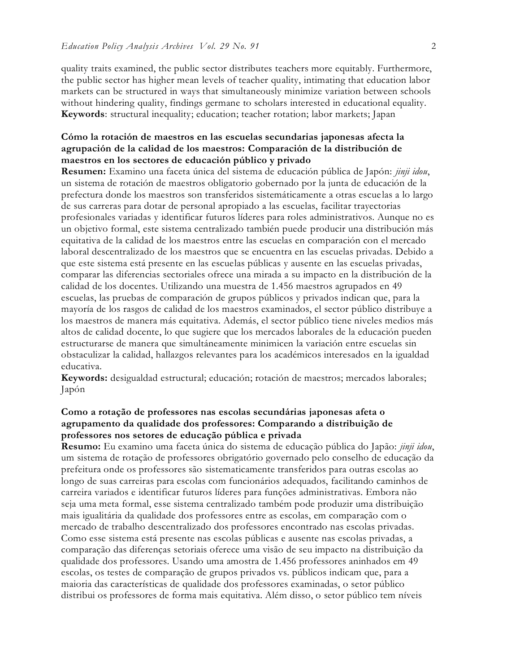quality traits examined, the public sector distributes teachers more equitably. Furthermore, the public sector has higher mean levels of teacher quality, intimating that education labor markets can be structured in ways that simultaneously minimize variation between schools without hindering quality, findings germane to scholars interested in educational equality. **Keywords**: structural inequality; education; teacher rotation; labor markets; Japan

# **Cómo la rotación de maestros en las escuelas secundarias japonesas afecta la agrupación de la calidad de los maestros: Comparación de la distribución de maestros en los sectores de educación público y privado**

**Resumen:** Examino una faceta única del sistema de educación pública de Japón: *jinji idou*, un sistema de rotación de maestros obligatorio gobernado por la junta de educación de la prefectura donde los maestros son transferidos sistemáticamente a otras escuelas a lo largo de sus carreras para dotar de personal apropiado a las escuelas, facilitar trayectorias profesionales variadas y identificar futuros líderes para roles administrativos. Aunque no es un objetivo formal, este sistema centralizado también puede producir una distribución más equitativa de la calidad de los maestros entre las escuelas en comparación con el mercado laboral descentralizado de los maestros que se encuentra en las escuelas privadas. Debido a que este sistema está presente en las escuelas públicas y ausente en las escuelas privadas, comparar las diferencias sectoriales ofrece una mirada a su impacto en la distribución de la calidad de los docentes. Utilizando una muestra de 1.456 maestros agrupados en 49 escuelas, las pruebas de comparación de grupos públicos y privados indican que, para la mayoría de los rasgos de calidad de los maestros examinados, el sector público distribuye a los maestros de manera más equitativa. Además, el sector público tiene niveles medios más altos de calidad docente, lo que sugiere que los mercados laborales de la educación pueden estructurarse de manera que simultáneamente minimicen la variación entre escuelas sin obstaculizar la calidad, hallazgos relevantes para los académicos interesados en la igualdad educativa.

**Keywords:** desigualdad estructural; educación; rotación de maestros; mercados laborales; Japón

# **Como a rotação de professores nas escolas secundárias japonesas afeta o agrupamento da qualidade dos professores: Comparando a distribuição de professores nos setores de educação pública e privada**

**Resumo:** Eu examino uma faceta única do sistema de educação pública do Japão: *jinji idou*, um sistema de rotação de professores obrigatório governado pelo conselho de educação da prefeitura onde os professores são sistematicamente transferidos para outras escolas ao longo de suas carreiras para escolas com funcionários adequados, facilitando caminhos de carreira variados e identificar futuros líderes para funções administrativas. Embora não seja uma meta formal, esse sistema centralizado também pode produzir uma distribuição mais igualitária da qualidade dos professores entre as escolas, em comparação com o mercado de trabalho descentralizado dos professores encontrado nas escolas privadas. Como esse sistema está presente nas escolas públicas e ausente nas escolas privadas, a comparação das diferenças setoriais oferece uma visão de seu impacto na distribuição da qualidade dos professores. Usando uma amostra de 1.456 professores aninhados em 49 escolas, os testes de comparação de grupos privados vs. públicos indicam que, para a maioria das características de qualidade dos professores examinadas, o setor público distribui os professores de forma mais equitativa. Além disso, o setor público tem níveis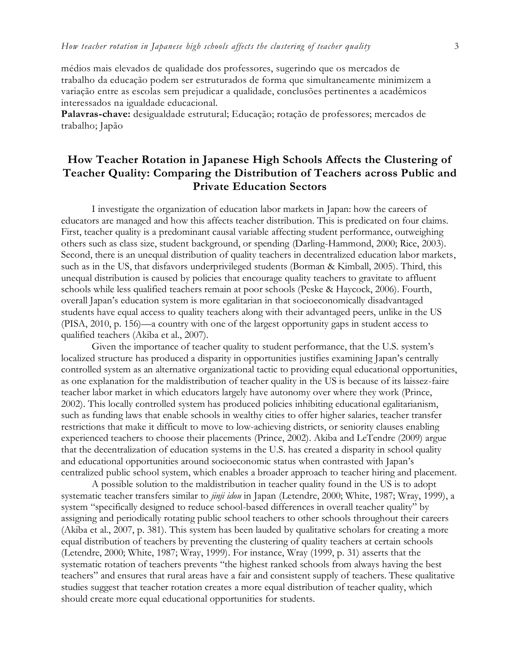médios mais elevados de qualidade dos professores, sugerindo que os mercados de trabalho da educação podem ser estruturados de forma que simultaneamente minimizem a variação entre as escolas sem prejudicar a qualidade, conclusões pertinentes a acadêmicos interessados na igualdade educacional.

**Palavras-chave:** desigualdade estrutural; Educação; rotação de professores; mercados de trabalho; Japão

# **How Teacher Rotation in Japanese High Schools Affects the Clustering of Teacher Quality: Comparing the Distribution of Teachers across Public and Private Education Sectors**

I investigate the organization of education labor markets in Japan: how the careers of educators are managed and how this affects teacher distribution. This is predicated on four claims. First, teacher quality is a predominant causal variable affecting student performance, outweighing others such as class size, student background, or spending (Darling-Hammond, 2000; Rice, 2003). Second, there is an unequal distribution of quality teachers in decentralized education labor markets, such as in the US, that disfavors underprivileged students (Borman & Kimball, 2005). Third, this unequal distribution is caused by policies that encourage quality teachers to gravitate to affluent schools while less qualified teachers remain at poor schools (Peske & Haycock, 2006). Fourth, overall Japan's education system is more egalitarian in that socioeconomically disadvantaged students have equal access to quality teachers along with their advantaged peers, unlike in the US (PISA, 2010, p. 156)—a country with one of the largest opportunity gaps in student access to qualified teachers (Akiba et al., 2007).

Given the importance of teacher quality to student performance, that the U.S. system's localized structure has produced a disparity in opportunities justifies examining Japan's centrally controlled system as an alternative organizational tactic to providing equal educational opportunities, as one explanation for the maldistribution of teacher quality in the US is because of its laissez-faire teacher labor market in which educators largely have autonomy over where they work (Prince, 2002). This locally controlled system has produced policies inhibiting educational egalitarianism, such as funding laws that enable schools in wealthy cities to offer higher salaries, teacher transfer restrictions that make it difficult to move to low-achieving districts, or seniority clauses enabling experienced teachers to choose their placements (Prince, 2002). Akiba and LeTendre (2009) argue that the decentralization of education systems in the U.S. has created a disparity in school quality and educational opportunities around socioeconomic status when contrasted with Japan's centralized public school system, which enables a broader approach to teacher hiring and placement.

A possible solution to the maldistribution in teacher quality found in the US is to adopt systematic teacher transfers similar to *jinji idou* in Japan (Letendre, 2000; White, 1987; Wray, 1999), a system "specifically designed to reduce school-based differences in overall teacher quality" by assigning and periodically rotating public school teachers to other schools throughout their careers (Akiba et al., 2007, p. 381). This system has been lauded by qualitative scholars for creating a more equal distribution of teachers by preventing the clustering of quality teachers at certain schools (Letendre, 2000; White, 1987; Wray, 1999). For instance, Wray (1999, p. 31) asserts that the systematic rotation of teachers prevents "the highest ranked schools from always having the best teachers" and ensures that rural areas have a fair and consistent supply of teachers. These qualitative studies suggest that teacher rotation creates a more equal distribution of teacher quality, which should create more equal educational opportunities for students.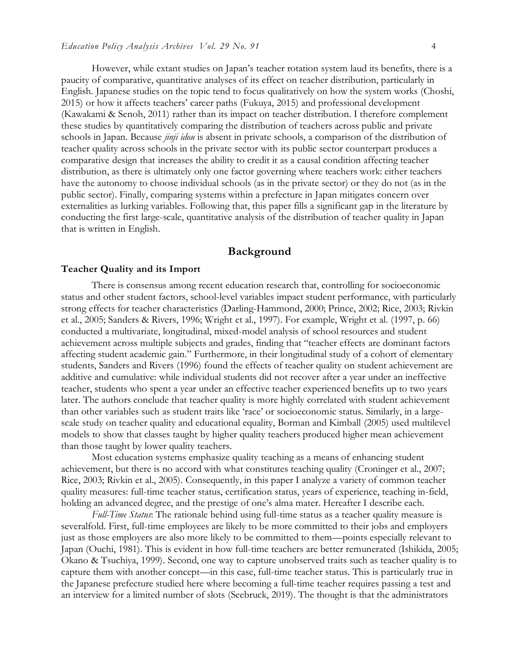However, while extant studies on Japan's teacher rotation system laud its benefits, there is a paucity of comparative, quantitative analyses of its effect on teacher distribution, particularly in English. Japanese studies on the topic tend to focus qualitatively on how the system works (Choshi, 2015) or how it affects teachers' career paths (Fukuya, 2015) and professional development (Kawakami & Senoh, 2011) rather than its impact on teacher distribution. I therefore complement these studies by quantitatively comparing the distribution of teachers across public and private schools in Japan. Because *jinji idou* is absent in private schools, a comparison of the distribution of teacher quality across schools in the private sector with its public sector counterpart produces a comparative design that increases the ability to credit it as a causal condition affecting teacher distribution, as there is ultimately only one factor governing where teachers work: either teachers have the autonomy to choose individual schools (as in the private sector) or they do not (as in the public sector). Finally, comparing systems within a prefecture in Japan mitigates concern over externalities as lurking variables. Following that, this paper fills a significant gap in the literature by conducting the first large-scale, quantitative analysis of the distribution of teacher quality in Japan that is written in English.

# **Background**

#### **Teacher Quality and its Import**

There is consensus among recent education research that, controlling for socioeconomic status and other student factors, school-level variables impact student performance, with particularly strong effects for teacher characteristics (Darling-Hammond, 2000; Prince, 2002; Rice, 2003; Rivkin et al., 2005; Sanders & Rivers, 1996; Wright et al., 1997). For example, Wright et al. (1997, p. 66) conducted a multivariate, longitudinal, mixed-model analysis of school resources and student achievement across multiple subjects and grades, finding that "teacher effects are dominant factors affecting student academic gain." Furthermore, in their longitudinal study of a cohort of elementary students, Sanders and Rivers (1996) found the effects of teacher quality on student achievement are additive and cumulative: while individual students did not recover after a year under an ineffective teacher, students who spent a year under an effective teacher experienced benefits up to two years later. The authors conclude that teacher quality is more highly correlated with student achievement than other variables such as student traits like 'race' or socioeconomic status. Similarly, in a largescale study on teacher quality and educational equality, Borman and Kimball (2005) used multilevel models to show that classes taught by higher quality teachers produced higher mean achievement than those taught by lower quality teachers.

Most education systems emphasize quality teaching as a means of enhancing student achievement, but there is no accord with what constitutes teaching quality (Croninger et al., 2007; Rice, 2003; Rivkin et al., 2005). Consequently, in this paper I analyze a variety of common teacher quality measures: full-time teacher status, certification status, years of experience, teaching in-field, holding an advanced degree, and the prestige of one's alma mater. Hereafter I describe each.

*Full-Time Status*: The rationale behind using full-time status as a teacher quality measure is severalfold. First, full-time employees are likely to be more committed to their jobs and employers just as those employers are also more likely to be committed to them—points especially relevant to Japan (Ouchi, 1981). This is evident in how full-time teachers are better remunerated (Ishikida, 2005; Okano & Tsuchiya, 1999). Second, one way to capture unobserved traits such as teacher quality is to capture them with another concept—in this case, full-time teacher status. This is particularly true in the Japanese prefecture studied here where becoming a full-time teacher requires passing a test and an interview for a limited number of slots (Seebruck, 2019). The thought is that the administrators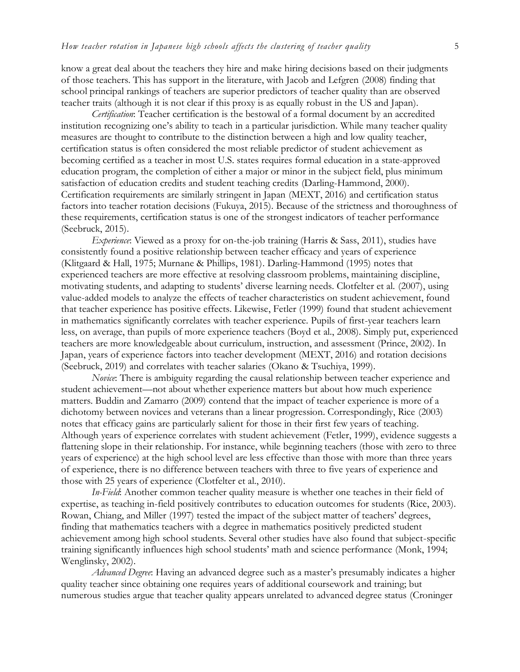know a great deal about the teachers they hire and make hiring decisions based on their judgments of those teachers. This has support in the literature, with Jacob and Lefgren (2008) finding that school principal rankings of teachers are superior predictors of teacher quality than are observed teacher traits (although it is not clear if this proxy is as equally robust in the US and Japan).

*Certification*: Teacher certification is the bestowal of a formal document by an accredited institution recognizing one's ability to teach in a particular jurisdiction. While many teacher quality measures are thought to contribute to the distinction between a high and low quality teacher, certification status is often considered the most reliable predictor of student achievement as becoming certified as a teacher in most U.S. states requires formal education in a state-approved education program, the completion of either a major or minor in the subject field, plus minimum satisfaction of education credits and student teaching credits (Darling-Hammond, 2000). Certification requirements are similarly stringent in Japan (MEXT, 2016) and certification status factors into teacher rotation decisions (Fukuya, 2015). Because of the strictness and thoroughness of these requirements, certification status is one of the strongest indicators of teacher performance (Seebruck, 2015).

*Experience*: Viewed as a proxy for on-the-job training (Harris & Sass, 2011), studies have consistently found a positive relationship between teacher efficacy and years of experience (Klitgaard & Hall, 1975; Murnane & Phillips, 1981). Darling-Hammond (1995) notes that experienced teachers are more effective at resolving classroom problems, maintaining discipline, motivating students, and adapting to students' diverse learning needs. Clotfelter et al. (2007), using value-added models to analyze the effects of teacher characteristics on student achievement, found that teacher experience has positive effects. Likewise, Fetler (1999) found that student achievement in mathematics significantly correlates with teacher experience. Pupils of first-year teachers learn less, on average, than pupils of more experience teachers (Boyd et al., 2008). Simply put, experienced teachers are more knowledgeable about curriculum, instruction, and assessment (Prince, 2002). In Japan, years of experience factors into teacher development (MEXT, 2016) and rotation decisions (Seebruck, 2019) and correlates with teacher salaries (Okano & Tsuchiya, 1999).

*Novice*: There is ambiguity regarding the causal relationship between teacher experience and student achievement—not about whether experience matters but about how much experience matters. Buddin and Zamarro (2009) contend that the impact of teacher experience is more of a dichotomy between novices and veterans than a linear progression. Correspondingly, Rice (2003) notes that efficacy gains are particularly salient for those in their first few years of teaching. Although years of experience correlates with student achievement (Fetler, 1999), evidence suggests a flattening slope in their relationship. For instance, while beginning teachers (those with zero to three years of experience) at the high school level are less effective than those with more than three years of experience, there is no difference between teachers with three to five years of experience and those with 25 years of experience (Clotfelter et al., 2010).

*In-Field*: Another common teacher quality measure is whether one teaches in their field of expertise, as teaching in-field positively contributes to education outcomes for students (Rice, 2003). Rowan, Chiang, and Miller (1997) tested the impact of the subject matter of teachers' degrees, finding that mathematics teachers with a degree in mathematics positively predicted student achievement among high school students. Several other studies have also found that subject-specific training significantly influences high school students' math and science performance (Monk, 1994; Wenglinsky, 2002).

*Advanced Degree*: Having an advanced degree such as a master's presumably indicates a higher quality teacher since obtaining one requires years of additional coursework and training; but numerous studies argue that teacher quality appears unrelated to advanced degree status (Croninger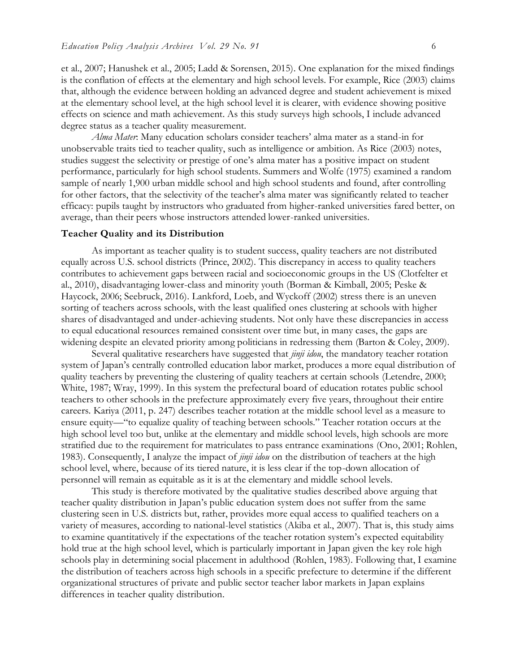et al., 2007; Hanushek et al., 2005; Ladd & Sorensen, 2015). One explanation for the mixed findings is the conflation of effects at the elementary and high school levels. For example, Rice (2003) claims that, although the evidence between holding an advanced degree and student achievement is mixed at the elementary school level, at the high school level it is clearer, with evidence showing positive effects on science and math achievement. As this study surveys high schools, I include advanced degree status as a teacher quality measurement.

*Alma Mater*: Many education scholars consider teachers' alma mater as a stand-in for unobservable traits tied to teacher quality, such as intelligence or ambition. As Rice (2003) notes, studies suggest the selectivity or prestige of one's alma mater has a positive impact on student performance, particularly for high school students. Summers and Wolfe (1975) examined a random sample of nearly 1,900 urban middle school and high school students and found, after controlling for other factors, that the selectivity of the teacher's alma mater was significantly related to teacher efficacy: pupils taught by instructors who graduated from higher-ranked universities fared better, on average, than their peers whose instructors attended lower-ranked universities.

#### **Teacher Quality and its Distribution**

As important as teacher quality is to student success, quality teachers are not distributed equally across U.S. school districts (Prince, 2002). This discrepancy in access to quality teachers contributes to achievement gaps between racial and socioeconomic groups in the US (Clotfelter et al., 2010), disadvantaging lower-class and minority youth (Borman & Kimball, 2005; Peske & Haycock, 2006; Seebruck, 2016). Lankford, Loeb, and Wyckoff (2002) stress there is an uneven sorting of teachers across schools, with the least qualified ones clustering at schools with higher shares of disadvantaged and under-achieving students. Not only have these discrepancies in access to equal educational resources remained consistent over time but, in many cases, the gaps are widening despite an elevated priority among politicians in redressing them (Barton & Coley, 2009).

Several qualitative researchers have suggested that *jinji idou*, the mandatory teacher rotation system of Japan's centrally controlled education labor market, produces a more equal distribution of quality teachers by preventing the clustering of quality teachers at certain schools (Letendre, 2000; White, 1987; Wray, 1999). In this system the prefectural board of education rotates public school teachers to other schools in the prefecture approximately every five years, throughout their entire careers. Kariya (2011, p. 247) describes teacher rotation at the middle school level as a measure to ensure equity—"to equalize quality of teaching between schools." Teacher rotation occurs at the high school level too but, unlike at the elementary and middle school levels, high schools are more stratified due to the requirement for matriculates to pass entrance examinations (Ono, 2001; Rohlen, 1983). Consequently, I analyze the impact of *jinji idou* on the distribution of teachers at the high school level, where, because of its tiered nature, it is less clear if the top-down allocation of personnel will remain as equitable as it is at the elementary and middle school levels.

This study is therefore motivated by the qualitative studies described above arguing that teacher quality distribution in Japan's public education system does not suffer from the same clustering seen in U.S. districts but, rather, provides more equal access to qualified teachers on a variety of measures, according to national-level statistics (Akiba et al., 2007). That is, this study aims to examine quantitatively if the expectations of the teacher rotation system's expected equitability hold true at the high school level, which is particularly important in Japan given the key role high schools play in determining social placement in adulthood (Rohlen, 1983). Following that, I examine the distribution of teachers across high schools in a specific prefecture to determine if the different organizational structures of private and public sector teacher labor markets in Japan explains differences in teacher quality distribution.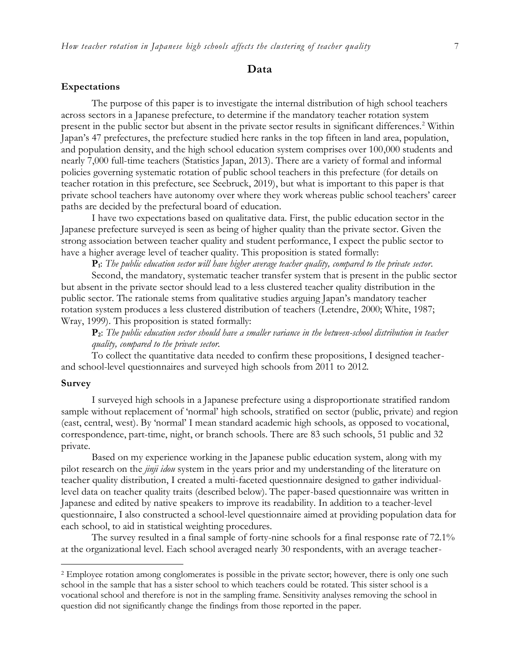# **Data**

#### **Expectations**

The purpose of this paper is to investigate the internal distribution of high school teachers across sectors in a Japanese prefecture, to determine if the mandatory teacher rotation system present in the public sector but absent in the private sector results in significant differences.<sup>2</sup> Within Japan's 47 prefectures, the prefecture studied here ranks in the top fifteen in land area, population, and population density, and the high school education system comprises over 100,000 students and nearly 7,000 full-time teachers (Statistics Japan, 2013). There are a variety of formal and informal policies governing systematic rotation of public school teachers in this prefecture (for details on teacher rotation in this prefecture, see Seebruck, 2019), but what is important to this paper is that private school teachers have autonomy over where they work whereas public school teachers' career paths are decided by the prefectural board of education.

I have two expectations based on qualitative data. First, the public education sector in the Japanese prefecture surveyed is seen as being of higher quality than the private sector. Given the strong association between teacher quality and student performance, I expect the public sector to have a higher average level of teacher quality. This proposition is stated formally:

**P1**: *The public education sector will have higher average teacher quality, compared to the private sector*.

Second, the mandatory, systematic teacher transfer system that is present in the public sector but absent in the private sector should lead to a less clustered teacher quality distribution in the public sector. The rationale stems from qualitative studies arguing Japan's mandatory teacher rotation system produces a less clustered distribution of teachers (Letendre, 2000; White, 1987; Wray, 1999). This proposition is stated formally:

**P2**: *The public education sector should have a smaller variance in the between-school distribution in teacher quality, compared to the private sector.*

To collect the quantitative data needed to confirm these propositions, I designed teacherand school-level questionnaires and surveyed high schools from 2011 to 2012.

### **Survey**

 $\overline{a}$ 

I surveyed high schools in a Japanese prefecture using a disproportionate stratified random sample without replacement of 'normal' high schools, stratified on sector (public, private) and region (east, central, west). By 'normal' I mean standard academic high schools, as opposed to vocational, correspondence, part-time, night, or branch schools. There are 83 such schools, 51 public and 32 private.

Based on my experience working in the Japanese public education system, along with my pilot research on the *jinji idou* system in the years prior and my understanding of the literature on teacher quality distribution, I created a multi-faceted questionnaire designed to gather individuallevel data on teacher quality traits (described below). The paper-based questionnaire was written in Japanese and edited by native speakers to improve its readability. In addition to a teacher-level questionnaire, I also constructed a school-level questionnaire aimed at providing population data for each school, to aid in statistical weighting procedures.

The survey resulted in a final sample of forty-nine schools for a final response rate of 72.1% at the organizational level. Each school averaged nearly 30 respondents, with an average teacher-

<sup>&</sup>lt;sup>2</sup> Employee rotation among conglomerates is possible in the private sector; however, there is only one such school in the sample that has a sister school to which teachers could be rotated. This sister school is a vocational school and therefore is not in the sampling frame. Sensitivity analyses removing the school in question did not significantly change the findings from those reported in the paper.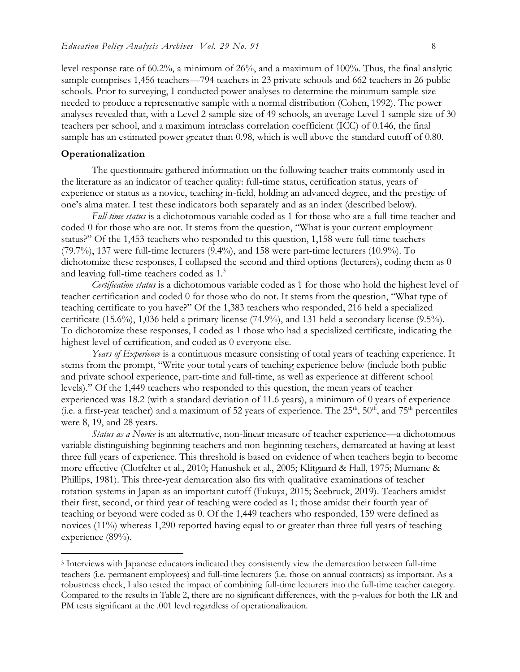level response rate of 60.2%, a minimum of 26%, and a maximum of 100%. Thus, the final analytic sample comprises 1,456 teachers—794 teachers in 23 private schools and 662 teachers in 26 public schools. Prior to surveying, I conducted power analyses to determine the minimum sample size needed to produce a representative sample with a normal distribution (Cohen, 1992). The power analyses revealed that, with a Level 2 sample size of 49 schools, an average Level 1 sample size of 30 teachers per school, and a maximum intraclass correlation coefficient (ICC) of 0.146, the final sample has an estimated power greater than 0.98, which is well above the standard cutoff of 0.80.

### **Operationalization**

 $\overline{a}$ 

The questionnaire gathered information on the following teacher traits commonly used in the literature as an indicator of teacher quality: full-time status, certification status, years of experience or status as a novice, teaching in-field, holding an advanced degree, and the prestige of one's alma mater. I test these indicators both separately and as an index (described below).

*Full-time status* is a dichotomous variable coded as 1 for those who are a full-time teacher and coded 0 for those who are not. It stems from the question, "What is your current employment status?" Of the 1,453 teachers who responded to this question, 1,158 were full-time teachers (79.7%), 137 were full-time lecturers (9.4%), and 158 were part-time lecturers (10.9%). To dichotomize these responses, I collapsed the second and third options (lecturers), coding them as 0 and leaving full-time teachers coded as 1.<sup>3</sup>

*Certification status* is a dichotomous variable coded as 1 for those who hold the highest level of teacher certification and coded 0 for those who do not. It stems from the question, "What type of teaching certificate to you have?" Of the 1,383 teachers who responded, 216 held a specialized certificate (15.6%), 1,036 held a primary license (74.9%), and 131 held a secondary license (9.5%). To dichotomize these responses, I coded as 1 those who had a specialized certificate, indicating the highest level of certification, and coded as 0 everyone else.

*Years of Experience* is a continuous measure consisting of total years of teaching experience. It stems from the prompt, "Write your total years of teaching experience below (include both public and private school experience, part-time and full-time, as well as experience at different school levels)." Of the 1,449 teachers who responded to this question, the mean years of teacher experienced was 18.2 (with a standard deviation of 11.6 years), a minimum of 0 years of experience (i.e. a first-year teacher) and a maximum of 52 years of experience. The  $25<sup>th</sup>$ ,  $50<sup>th</sup>$ , and  $75<sup>th</sup>$  percentiles were 8, 19, and 28 years.

*Status as a Novice* is an alternative, non-linear measure of teacher experience—a dichotomous variable distinguishing beginning teachers and non-beginning teachers, demarcated at having at least three full years of experience. This threshold is based on evidence of when teachers begin to become more effective (Clotfelter et al., 2010; Hanushek et al., 2005; Klitgaard & Hall, 1975; Murnane & Phillips, 1981). This three-year demarcation also fits with qualitative examinations of teacher rotation systems in Japan as an important cutoff (Fukuya, 2015; Seebruck, 2019). Teachers amidst their first, second, or third year of teaching were coded as 1; those amidst their fourth year of teaching or beyond were coded as 0. Of the 1,449 teachers who responded, 159 were defined as novices (11%) whereas 1,290 reported having equal to or greater than three full years of teaching experience (89%).

<sup>3</sup> Interviews with Japanese educators indicated they consistently view the demarcation between full-time teachers (i.e. permanent employees) and full-time lecturers (i.e. those on annual contracts) as important. As a robustness check, I also tested the impact of combining full-time lecturers into the full-time teacher category. Compared to the results in Table 2, there are no significant differences, with the p-values for both the LR and PM tests significant at the .001 level regardless of operationalization.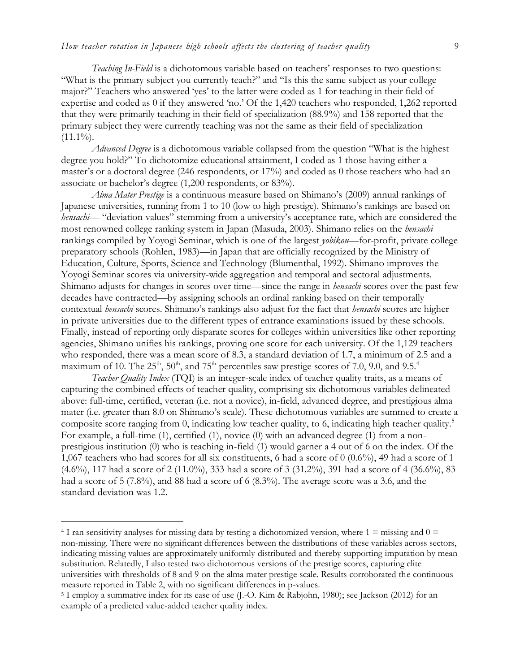*Teaching In-Field* is a dichotomous variable based on teachers' responses to two questions: "What is the primary subject you currently teach?" and "Is this the same subject as your college major?" Teachers who answered 'yes' to the latter were coded as 1 for teaching in their field of expertise and coded as 0 if they answered 'no.' Of the 1,420 teachers who responded, 1,262 reported that they were primarily teaching in their field of specialization (88.9%) and 158 reported that the primary subject they were currently teaching was not the same as their field of specialization  $(11.1\%)$ .

*Advanced Degree* is a dichotomous variable collapsed from the question "What is the highest degree you hold?" To dichotomize educational attainment, I coded as 1 those having either a master's or a doctoral degree (246 respondents, or 17%) and coded as 0 those teachers who had an associate or bachelor's degree (1,200 respondents, or 83%).

*Alma Mater Prestige* is a continuous measure based on Shimano's (2009) annual rankings of Japanese universities, running from 1 to 10 (low to high prestige). Shimano's rankings are based on *hensachi*— "deviation values" stemming from a university's acceptance rate, which are considered the most renowned college ranking system in Japan (Masuda, 2003). Shimano relies on the *hensachi*  rankings compiled by Yoyogi Seminar, which is one of the largest *yobikou*—for-profit, private college preparatory schools (Rohlen, 1983)—in Japan that are officially recognized by the Ministry of Education, Culture, Sports, Science and Technology (Blumenthal, 1992). Shimano improves the Yoyogi Seminar scores via university-wide aggregation and temporal and sectoral adjustments. Shimano adjusts for changes in scores over time—since the range in *hensachi* scores over the past few decades have contracted—by assigning schools an ordinal ranking based on their temporally contextual *hensachi* scores. Shimano's rankings also adjust for the fact that *hensachi* scores are higher in private universities due to the different types of entrance examinations issued by these schools. Finally, instead of reporting only disparate scores for colleges within universities like other reporting agencies, Shimano unifies his rankings, proving one score for each university. Of the 1,129 teachers who responded, there was a mean score of 8.3, a standard deviation of 1.7, a minimum of 2.5 and a maximum of 10. The 25<sup>th</sup>, 50<sup>th</sup>, and 75<sup>th</sup> percentiles saw prestige scores of 7.0, 9.0, and 9.5.<sup>4</sup>

*Teacher Quality Index* (TQI) is an integer-scale index of teacher quality traits, as a means of capturing the combined effects of teacher quality, comprising six dichotomous variables delineated above: full-time, certified, veteran (i.e. not a novice), in-field, advanced degree, and prestigious alma mater (i.e. greater than 8.0 on Shimano's scale). These dichotomous variables are summed to create a composite score ranging from 0, indicating low teacher quality, to 6, indicating high teacher quality.<sup>5</sup> For example, a full-time (1), certified (1), novice (0) with an advanced degree (1) from a nonprestigious institution (0) who is teaching in-field (1) would garner a 4 out of 6 on the index. Of the 1,067 teachers who had scores for all six constituents, 6 had a score of 0 (0.6%), 49 had a score of 1 (4.6%), 117 had a score of 2 (11.0%), 333 had a score of 3 (31.2%), 391 had a score of 4 (36.6%), 83 had a score of 5 (7.8%), and 88 had a score of 6 (8.3%). The average score was a 3.6, and the standard deviation was 1.2.

 $\overline{a}$ 

 $4$  I ran sensitivity analyses for missing data by testing a dichotomized version, where  $1 =$  missing and  $0 =$ non-missing. There were no significant differences between the distributions of these variables across sectors, indicating missing values are approximately uniformly distributed and thereby supporting imputation by mean substitution. Relatedly, I also tested two dichotomous versions of the prestige scores, capturing elite universities with thresholds of 8 and 9 on the alma mater prestige scale. Results corroborated the continuous measure reported in Table 2, with no significant differences in p-values.

<sup>5</sup> I employ a summative index for its ease of use (J.-O. Kim & Rabjohn, 1980); see Jackson (2012) for an example of a predicted value-added teacher quality index.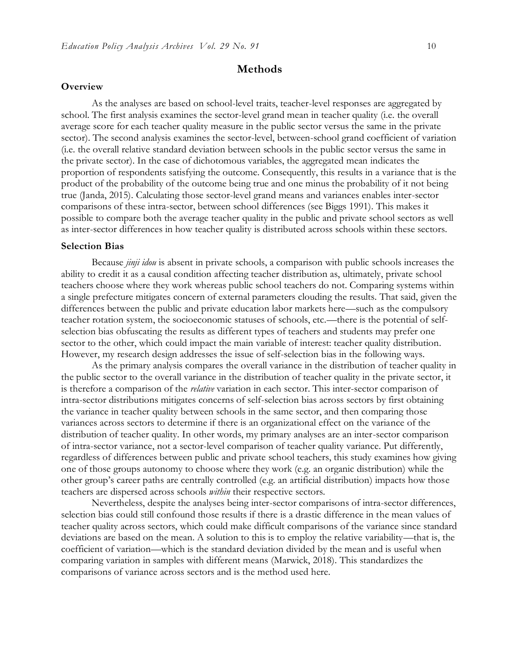#### **Methods**

#### **Overview**

As the analyses are based on school-level traits, teacher-level responses are aggregated by school. The first analysis examines the sector-level grand mean in teacher quality (i.e. the overall average score for each teacher quality measure in the public sector versus the same in the private sector). The second analysis examines the sector-level, between-school grand coefficient of variation (i.e. the overall relative standard deviation between schools in the public sector versus the same in the private sector). In the case of dichotomous variables, the aggregated mean indicates the proportion of respondents satisfying the outcome. Consequently, this results in a variance that is the product of the probability of the outcome being true and one minus the probability of it not being true (Janda, 2015). Calculating those sector-level grand means and variances enables inter-sector comparisons of these intra-sector, between school differences (see Biggs 1991). This makes it possible to compare both the average teacher quality in the public and private school sectors as well as inter-sector differences in how teacher quality is distributed across schools within these sectors.

#### **Selection Bias**

Because *jinji idou* is absent in private schools, a comparison with public schools increases the ability to credit it as a causal condition affecting teacher distribution as, ultimately, private school teachers choose where they work whereas public school teachers do not. Comparing systems within a single prefecture mitigates concern of external parameters clouding the results. That said, given the differences between the public and private education labor markets here—such as the compulsory teacher rotation system, the socioeconomic statuses of schools, etc.—there is the potential of selfselection bias obfuscating the results as different types of teachers and students may prefer one sector to the other, which could impact the main variable of interest: teacher quality distribution. However, my research design addresses the issue of self-selection bias in the following ways.

As the primary analysis compares the overall variance in the distribution of teacher quality in the public sector to the overall variance in the distribution of teacher quality in the private sector, it is therefore a comparison of the *relative* variation in each sector. This inter-sector comparison of intra-sector distributions mitigates concerns of self-selection bias across sectors by first obtaining the variance in teacher quality between schools in the same sector, and then comparing those variances across sectors to determine if there is an organizational effect on the variance of the distribution of teacher quality. In other words, my primary analyses are an inter-sector comparison of intra-sector variance, not a sector-level comparison of teacher quality variance. Put differently, regardless of differences between public and private school teachers, this study examines how giving one of those groups autonomy to choose where they work (e.g. an organic distribution) while the other group's career paths are centrally controlled (e.g. an artificial distribution) impacts how those teachers are dispersed across schools *within* their respective sectors.

Nevertheless, despite the analyses being inter-sector comparisons of intra-sector differences, selection bias could still confound those results if there is a drastic difference in the mean values of teacher quality across sectors, which could make difficult comparisons of the variance since standard deviations are based on the mean. A solution to this is to employ the relative variability—that is, the coefficient of variation—which is the standard deviation divided by the mean and is useful when comparing variation in samples with different means (Marwick, 2018). This standardizes the comparisons of variance across sectors and is the method used here.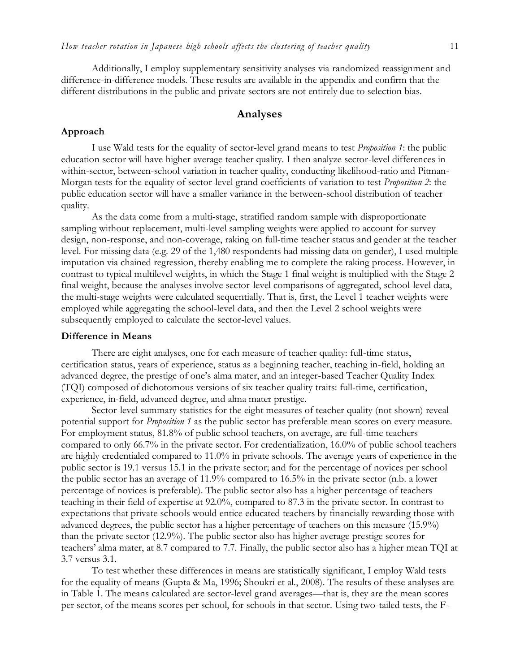Additionally, I employ supplementary sensitivity analyses via randomized reassignment and difference-in-difference models. These results are available in the appendix and confirm that the different distributions in the public and private sectors are not entirely due to selection bias.

# **Analyses**

## **Approach**

I use Wald tests for the equality of sector-level grand means to test *Proposition 1*: the public education sector will have higher average teacher quality. I then analyze sector-level differences in within-sector, between-school variation in teacher quality, conducting likelihood-ratio and Pitman-Morgan tests for the equality of sector-level grand coefficients of variation to test *Proposition 2*: the public education sector will have a smaller variance in the between-school distribution of teacher quality.

As the data come from a multi-stage, stratified random sample with disproportionate sampling without replacement, multi-level sampling weights were applied to account for survey design, non-response, and non-coverage, raking on full-time teacher status and gender at the teacher level. For missing data (e.g. 29 of the 1,480 respondents had missing data on gender), I used multiple imputation via chained regression, thereby enabling me to complete the raking process. However, in contrast to typical multilevel weights, in which the Stage 1 final weight is multiplied with the Stage 2 final weight, because the analyses involve sector-level comparisons of aggregated, school-level data, the multi-stage weights were calculated sequentially. That is, first, the Level 1 teacher weights were employed while aggregating the school-level data, and then the Level 2 school weights were subsequently employed to calculate the sector-level values.

#### **Difference in Means**

There are eight analyses, one for each measure of teacher quality: full-time status, certification status, years of experience, status as a beginning teacher, teaching in-field, holding an advanced degree, the prestige of one's alma mater, and an integer-based Teacher Quality Index (TQI) composed of dichotomous versions of six teacher quality traits: full-time, certification, experience, in-field, advanced degree, and alma mater prestige.

Sector-level summary statistics for the eight measures of teacher quality (not shown) reveal potential support for *Proposition 1* as the public sector has preferable mean scores on every measure. For employment status, 81.8% of public school teachers, on average, are full-time teachers compared to only 66.7% in the private sector. For credentialization, 16.0% of public school teachers are highly credentialed compared to 11.0% in private schools. The average years of experience in the public sector is 19.1 versus 15.1 in the private sector; and for the percentage of novices per school the public sector has an average of 11.9% compared to 16.5% in the private sector (n.b. a lower percentage of novices is preferable). The public sector also has a higher percentage of teachers teaching in their field of expertise at 92.0%, compared to 87.3 in the private sector. In contrast to expectations that private schools would entice educated teachers by financially rewarding those with advanced degrees, the public sector has a higher percentage of teachers on this measure (15.9%) than the private sector (12.9%). The public sector also has higher average prestige scores for teachers' alma mater, at 8.7 compared to 7.7. Finally, the public sector also has a higher mean TQI at 3.7 versus 3.1.

To test whether these differences in means are statistically significant, I employ Wald tests for the equality of means (Gupta & Ma, 1996; Shoukri et al., 2008). The results of these analyses are in Table 1. The means calculated are sector-level grand averages—that is, they are the mean scores per sector, of the means scores per school, for schools in that sector. Using two-tailed tests, the F-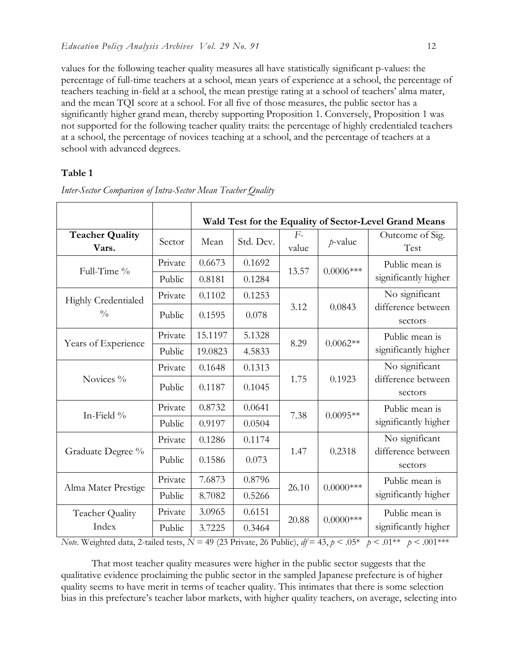values for the following teacher quality measures all have statistically significant p-values: the percentage of full-time teachers at a school, mean years of experience at a school, the percentage of teachers teaching in-field at a school, the mean prestige rating at a school of teachers' alma mater, and the mean TQI score at a school. For all five of those measures, the public sector has a significantly higher grand mean, thereby supporting Proposition 1. Conversely, Proposition 1 was not supported for the following teacher quality traits: the percentage of highly credentialed teachers at a school, the percentage of novices teaching at a school, and the percentage of teachers at a school with advanced degrees.

## **Table 1**

|                                      |         | Wald Test for the Equality of Sector-Level Grand Means |           |               |              |                               |
|--------------------------------------|---------|--------------------------------------------------------|-----------|---------------|--------------|-------------------------------|
| <b>Teacher Quality</b><br>Vars.      | Sector  | Mean                                                   | Std. Dev. | $F-$<br>value | $p$ -value   | Outcome of Sig.<br>Test       |
| Full-Time %                          | Private | 0.6673                                                 | 0.1692    | 13.57         | $0.0006***$  | Public mean is                |
|                                      | Public  | 0.8181                                                 | 0.1284    |               |              | significantly higher          |
| Highly Credentialed<br>$\frac{0}{0}$ | Private | 0.1102                                                 | 0.1253    |               | 0.0843       | No significant                |
|                                      | Public  | 0.1595                                                 | 0.078     | 3.12          |              | difference between<br>sectors |
| Years of Experience                  | Private | 15.1197                                                | 5.1328    | 8.29          | $0.0062**$   | Public mean is                |
|                                      | Public  | 19.0823                                                | 4.5833    |               |              | significantly higher          |
| Novices %                            | Private | 0.1648                                                 | 0.1313    |               | 0.1923       | No significant                |
|                                      | Public  | 0.1187                                                 | 0.1045    | 1.75          |              | difference between<br>sectors |
| In-Field $\%$                        | Private | 0.8732                                                 | 0.0641    | 7.38          | $0.0095**$   | Public mean is                |
|                                      | Public  | 0.9197                                                 | 0.0504    |               |              | significantly higher          |
| Graduate Degree %                    | Private | 0.1286                                                 | 0.1174    |               | 0.2318       | No significant                |
|                                      | Public  | 0.1586                                                 | 0.073     | 1.47          |              | difference between<br>sectors |
| Alma Mater Prestige                  | Private | 7.6873                                                 | 0.8796    | 26.10         | $0.0000$ *** | Public mean is                |
|                                      | Public  | 8.7082                                                 | 0.5266    |               |              | significantly higher          |
| Teacher Quality                      | Private | 3.0965                                                 | 0.6151    | 20.88         | $0.0000$ *** | Public mean is                |
| Index                                | Public  | 3.7225                                                 | 0.3464    |               |              | significantly higher          |

*Inter-Sector Comparison of Intra-Sector Mean Teacher Quality*

*Note*. Weighted data, 2-tailed tests,  $N = 49$  (23 Private, 26 Public),  $df = 43$ ,  $p < .05^*$   $p < .01^{**}$   $p < .001^{***}$ 

That most teacher quality measures were higher in the public sector suggests that the qualitative evidence proclaiming the public sector in the sampled Japanese prefecture is of higher quality seems to have merit in terms of teacher quality. This intimates that there is some selection bias in this prefecture's teacher labor markets, with higher quality teachers, on average, selecting into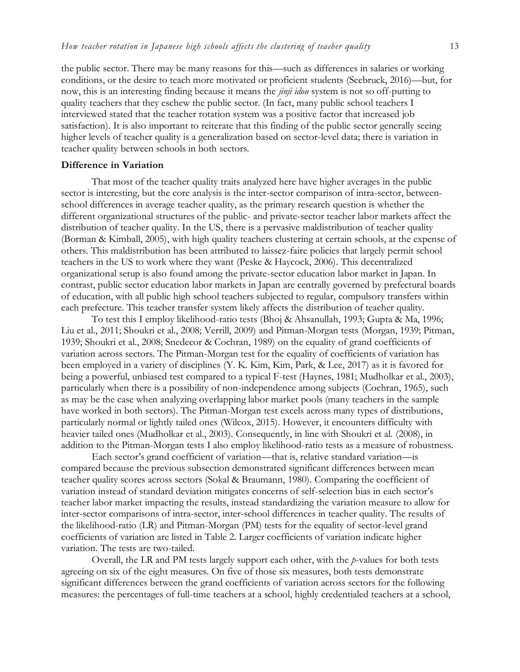the public sector. There may be many reasons for this—such as differences in salaries or working conditions, or the desire to teach more motivated or proficient students (Seebruck, 2016)—but, for now, this is an interesting finding because it means the *jinji idou* system is not so off-putting to quality teachers that they eschew the public sector. (In fact, many public school teachers I interviewed stated that the teacher rotation system was a positive factor that increased job satisfaction). It is also important to reiterate that this finding of the public sector generally seeing higher levels of teacher quality is a generalization based on sector-level data; there is variation in teacher quality between schools in both sectors.

#### **Difference in Variation**

That most of the teacher quality traits analyzed here have higher averages in the public sector is interesting, but the core analysis is the inter-sector comparison of intra-sector, betweenschool differences in average teacher quality, as the primary research question is whether the different organizational structures of the public- and private-sector teacher labor markets affect the distribution of teacher quality. In the US, there is a pervasive maldistribution of teacher quality (Borman & Kimball, 2005), with high quality teachers clustering at certain schools, at the expense of others. This maldistribution has been attributed to laissez-faire policies that largely permit school teachers in the US to work where they want (Peske & Haycock, 2006). This decentralized organizational setup is also found among the private-sector education labor market in Japan. In contrast, public sector education labor markets in Japan are centrally governed by prefectural boards of education, with all public high school teachers subjected to regular, compulsory transfers within each prefecture. This teacher transfer system likely affects the distribution of teacher quality.

To test this I employ likelihood-ratio tests (Bhoj & Ahsanullah, 1993; Gupta & Ma, 1996; Liu et al., 2011; Shoukri et al., 2008; Verrill, 2009) and Pitman-Morgan tests (Morgan, 1939; Pitman, 1939; Shoukri et al., 2008; Snedecor & Cochran, 1989) on the equality of grand coefficients of variation across sectors. The Pitman-Morgan test for the equality of coefficients of variation has been employed in a variety of disciplines (Y. K. Kim, Kim, Park, & Lee, 2017) as it is favored for being a powerful, unbiased test compared to a typical F-test (Haynes, 1981; Mudholkar et al., 2003), particularly when there is a possibility of non-independence among subjects (Cochran, 1965), such as may be the case when analyzing overlapping labor market pools (many teachers in the sample have worked in both sectors). The Pitman-Morgan test excels across many types of distributions, particularly normal or lightly tailed ones (Wilcox, 2015). However, it encounters difficulty with heavier tailed ones (Mudholkar et al., 2003). Consequently, in line with Shoukri et al. (2008), in addition to the Pitman-Morgan tests I also employ likelihood-ratio tests as a measure of robustness.

Each sector's grand coefficient of variation—that is, relative standard variation—is compared because the previous subsection demonstrated significant differences between mean teacher quality scores across sectors (Sokal & Braumann, 1980). Comparing the coefficient of variation instead of standard deviation mitigates concerns of self-selection bias in each sector's teacher labor market impacting the results, instead standardizing the variation measure to allow for inter-sector comparisons of intra-sector, inter-school differences in teacher quality. The results of the likelihood-ratio (LR) and Pitman-Morgan (PM) tests for the equality of sector-level grand coefficients of variation are listed in Table 2. Larger coefficients of variation indicate higher variation. The tests are two-tailed.

Overall, the LR and PM tests largely support each other, with the *p*-values for both tests agreeing on six of the eight measures. On five of those six measures, both tests demonstrate significant differences between the grand coefficients of variation across sectors for the following measures: the percentages of full-time teachers at a school, highly credentialed teachers at a school,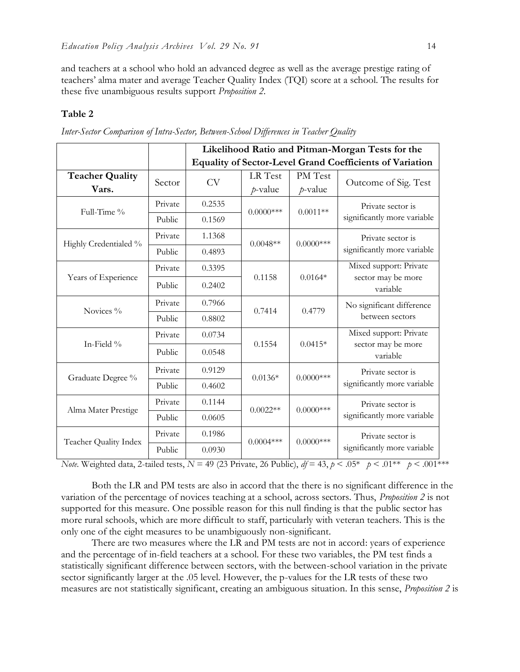and teachers at a school who hold an advanced degree as well as the average prestige rating of teachers' alma mater and average Teacher Quality Index (TQI) score at a school. The results for these five unambiguous results support *Proposition 2*.

#### **Table 2**

|                        |         | Likelihood Ratio and Pitman-Morgan Tests for the                |              |                       |                                                          |  |
|------------------------|---------|-----------------------------------------------------------------|--------------|-----------------------|----------------------------------------------------------|--|
|                        |         | <b>Equality of Sector-Level Grand Coefficients of Variation</b> |              |                       |                                                          |  |
| <b>Teacher Quality</b> | Sector  | <b>CV</b>                                                       | LR Test      | PM Test<br>$p$ -value | Outcome of Sig. Test                                     |  |
| Vars.                  |         |                                                                 | $p$ -value   |                       |                                                          |  |
| Full-Time %            | Private | 0.2535                                                          | $0.0000$ *** | $0.0011**$            | Private sector is<br>significantly more variable         |  |
|                        | Public  | 0.1569                                                          |              |                       |                                                          |  |
| Highly Credentialed %  | Private | 1.1368                                                          | $0.0048**$   | $0.0000$ ***          | Private sector is<br>significantly more variable         |  |
|                        | Public  | 0.4893                                                          |              |                       |                                                          |  |
| Years of Experience    | Private | 0.3395                                                          |              | $0.0164*$             | Mixed support: Private<br>sector may be more<br>variable |  |
|                        | Public  | 0.2402                                                          | 0.1158       |                       |                                                          |  |
| Novices %              | Private | 0.7966                                                          | 0.7414       | 0.4779                | No significant difference<br>between sectors             |  |
|                        | Public  | 0.8802                                                          |              |                       |                                                          |  |
| In-Field %             | Private | 0.0734                                                          | 0.1554       | $0.0415*$             | Mixed support: Private<br>sector may be more<br>variable |  |
|                        | Public  | 0.0548                                                          |              |                       |                                                          |  |
| Graduate Degree %      | Private | 0.9129                                                          | $0.0136*$    | $0.0000$ ***          | Private sector is<br>significantly more variable         |  |
|                        | Public  | 0.4602                                                          |              |                       |                                                          |  |
| Alma Mater Prestige    | Private | 0.1144                                                          | $0.0022**$   | $0.0000$ ***          | Private sector is<br>significantly more variable         |  |
|                        | Public  | 0.0605                                                          |              |                       |                                                          |  |
| Teacher Quality Index  | Private | 0.1986                                                          | $0.0004***$  | $0.0000$ ***          | Private sector is<br>significantly more variable         |  |
|                        | Public  | 0.0930                                                          |              |                       |                                                          |  |

*Inter-Sector Comparison of Intra-Sector, Between-School Differences in Teacher Quality*

*Note*. Weighted data, 2-tailed tests,  $N = 49$  (23 Private, 26 Public),  $df = 43$ ,  $p < .05^*$   $p < .01^{**}$   $p < .001^{**}$ 

Both the LR and PM tests are also in accord that the there is no significant difference in the variation of the percentage of novices teaching at a school, across sectors. Thus, *Proposition 2* is not supported for this measure. One possible reason for this null finding is that the public sector has more rural schools, which are more difficult to staff, particularly with veteran teachers. This is the only one of the eight measures to be unambiguously non-significant.

There are two measures where the LR and PM tests are not in accord: years of experience and the percentage of in-field teachers at a school. For these two variables, the PM test finds a statistically significant difference between sectors, with the between-school variation in the private sector significantly larger at the .05 level. However, the p-values for the LR tests of these two measures are not statistically significant, creating an ambiguous situation. In this sense, *Proposition 2* is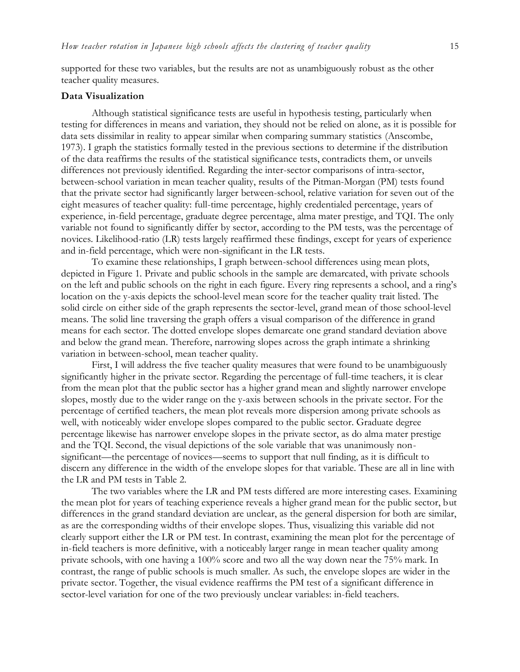supported for these two variables, but the results are not as unambiguously robust as the other teacher quality measures.

#### **Data Visualization**

Although statistical significance tests are useful in hypothesis testing, particularly when testing for differences in means and variation, they should not be relied on alone, as it is possible for data sets dissimilar in reality to appear similar when comparing summary statistics (Anscombe, 1973). I graph the statistics formally tested in the previous sections to determine if the distribution of the data reaffirms the results of the statistical significance tests, contradicts them, or unveils differences not previously identified. Regarding the inter-sector comparisons of intra-sector, between-school variation in mean teacher quality, results of the Pitman-Morgan (PM) tests found that the private sector had significantly larger between-school, relative variation for seven out of the eight measures of teacher quality: full-time percentage, highly credentialed percentage, years of experience, in-field percentage, graduate degree percentage, alma mater prestige, and TQI. The only variable not found to significantly differ by sector, according to the PM tests, was the percentage of novices. Likelihood-ratio (LR) tests largely reaffirmed these findings, except for years of experience and in-field percentage, which were non-significant in the LR tests.

To examine these relationships, I graph between-school differences using mean plots, depicted in Figure 1. Private and public schools in the sample are demarcated, with private schools on the left and public schools on the right in each figure. Every ring represents a school, and a ring's location on the y-axis depicts the school-level mean score for the teacher quality trait listed. The solid circle on either side of the graph represents the sector-level, grand mean of those school-level means. The solid line traversing the graph offers a visual comparison of the difference in grand means for each sector. The dotted envelope slopes demarcate one grand standard deviation above and below the grand mean. Therefore, narrowing slopes across the graph intimate a shrinking variation in between-school, mean teacher quality.

First, I will address the five teacher quality measures that were found to be unambiguously significantly higher in the private sector. Regarding the percentage of full-time teachers, it is clear from the mean plot that the public sector has a higher grand mean and slightly narrower envelope slopes, mostly due to the wider range on the y-axis between schools in the private sector. For the percentage of certified teachers, the mean plot reveals more dispersion among private schools as well, with noticeably wider envelope slopes compared to the public sector. Graduate degree percentage likewise has narrower envelope slopes in the private sector, as do alma mater prestige and the TQI. Second, the visual depictions of the sole variable that was unanimously nonsignificant—the percentage of novices—seems to support that null finding, as it is difficult to discern any difference in the width of the envelope slopes for that variable. These are all in line with the LR and PM tests in Table 2.

The two variables where the LR and PM tests differed are more interesting cases. Examining the mean plot for years of teaching experience reveals a higher grand mean for the public sector, but differences in the grand standard deviation are unclear, as the general dispersion for both are similar, as are the corresponding widths of their envelope slopes. Thus, visualizing this variable did not clearly support either the LR or PM test. In contrast, examining the mean plot for the percentage of in-field teachers is more definitive, with a noticeably larger range in mean teacher quality among private schools, with one having a 100% score and two all the way down near the 75% mark. In contrast, the range of public schools is much smaller. As such, the envelope slopes are wider in the private sector. Together, the visual evidence reaffirms the PM test of a significant difference in sector-level variation for one of the two previously unclear variables: in-field teachers.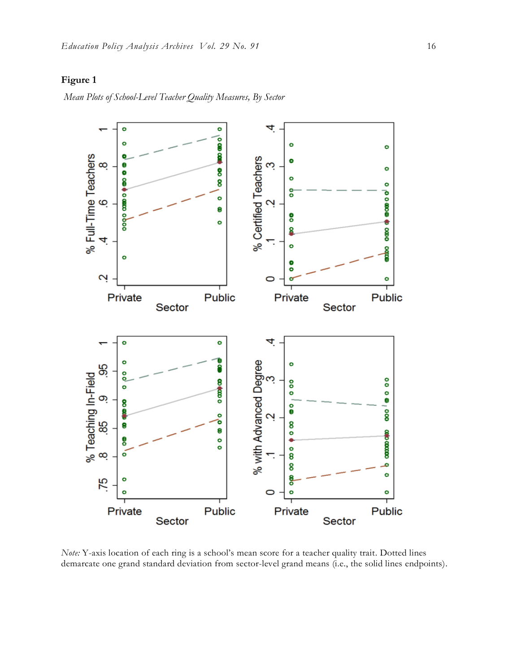# **Figure 1**

*Mean Plots of School-Level Teacher Quality Measures, By Sector*



*Note:* Y-axis location of each ring is a school's mean score for a teacher quality trait. Dotted lines demarcate one grand standard deviation from sector-level grand means (i.e., the solid lines endpoints).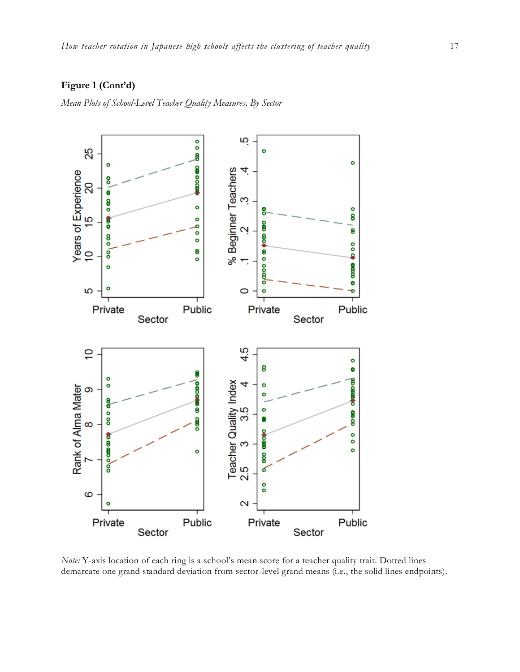# **Figure 1 (Cont'd)**

*Mean Plots of School-Level Teacher Quality Measures, By Sector*



*Note:* Y-axis location of each ring is a school's mean score for a teacher quality trait. Dotted lines demarcate one grand standard deviation from sector-level grand means (i.e., the solid lines endpoints).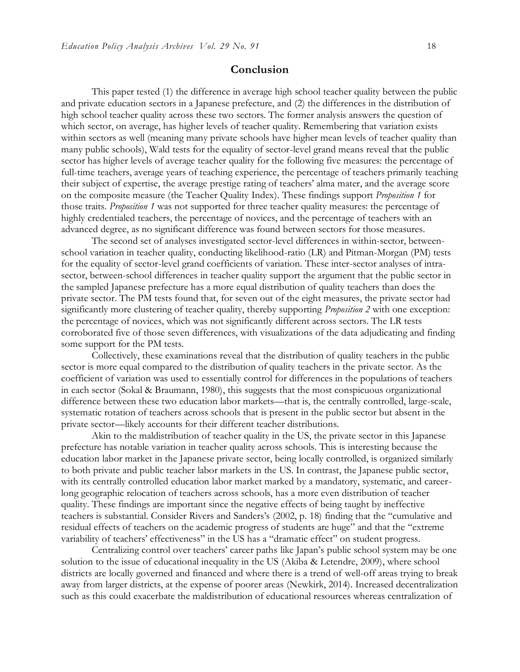# **Conclusion**

This paper tested (1) the difference in average high school teacher quality between the public and private education sectors in a Japanese prefecture, and (2) the differences in the distribution of high school teacher quality across these two sectors. The former analysis answers the question of which sector, on average, has higher levels of teacher quality. Remembering that variation exists within sectors as well (meaning many private schools have higher mean levels of teacher quality than many public schools), Wald tests for the equality of sector-level grand means reveal that the public sector has higher levels of average teacher quality for the following five measures: the percentage of full-time teachers, average years of teaching experience, the percentage of teachers primarily teaching their subject of expertise, the average prestige rating of teachers' alma mater, and the average score on the composite measure (the Teacher Quality Index). These findings support *Proposition 1* for those traits. *Proposition 1* was not supported for three teacher quality measures: the percentage of highly credentialed teachers, the percentage of novices, and the percentage of teachers with an advanced degree, as no significant difference was found between sectors for those measures.

The second set of analyses investigated sector-level differences in within-sector, betweenschool variation in teacher quality, conducting likelihood-ratio (LR) and Pitman-Morgan (PM) tests for the equality of sector-level grand coefficients of variation. These inter-sector analyses of intrasector, between-school differences in teacher quality support the argument that the public sector in the sampled Japanese prefecture has a more equal distribution of quality teachers than does the private sector. The PM tests found that, for seven out of the eight measures, the private sector had significantly more clustering of teacher quality, thereby supporting *Proposition 2* with one exception: the percentage of novices, which was not significantly different across sectors. The LR tests corroborated five of those seven differences, with visualizations of the data adjudicating and finding some support for the PM tests.

Collectively, these examinations reveal that the distribution of quality teachers in the public sector is more equal compared to the distribution of quality teachers in the private sector. As the coefficient of variation was used to essentially control for differences in the populations of teachers in each sector (Sokal & Braumann, 1980), this suggests that the most conspicuous organizational difference between these two education labor markets—that is, the centrally controlled, large-scale, systematic rotation of teachers across schools that is present in the public sector but absent in the private sector—likely accounts for their different teacher distributions.

Akin to the maldistribution of teacher quality in the US, the private sector in this Japanese prefecture has notable variation in teacher quality across schools. This is interesting because the education labor market in the Japanese private sector, being locally controlled, is organized similarly to both private and public teacher labor markets in the US. In contrast, the Japanese public sector, with its centrally controlled education labor market marked by a mandatory, systematic, and careerlong geographic relocation of teachers across schools, has a more even distribution of teacher quality. These findings are important since the negative effects of being taught by ineffective teachers is substantial. Consider Rivers and Sanders's (2002, p. 18) finding that the "cumulative and residual effects of teachers on the academic progress of students are huge" and that the "extreme variability of teachers' effectiveness" in the US has a "dramatic effect" on student progress.

Centralizing control over teachers' career paths like Japan's public school system may be one solution to the issue of educational inequality in the US (Akiba & Letendre, 2009), where school districts are locally governed and financed and where there is a trend of well-off areas trying to break away from larger districts, at the expense of poorer areas (Newkirk, 2014). Increased decentralization such as this could exacerbate the maldistribution of educational resources whereas centralization of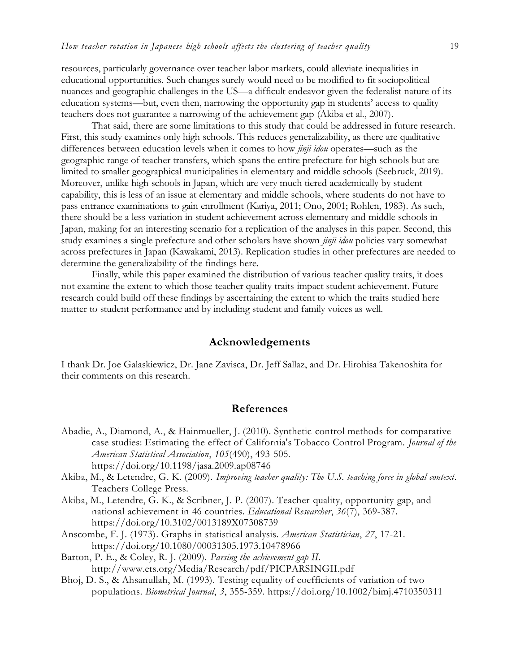resources, particularly governance over teacher labor markets, could alleviate inequalities in educational opportunities. Such changes surely would need to be modified to fit sociopolitical nuances and geographic challenges in the US—a difficult endeavor given the federalist nature of its education systems—but, even then, narrowing the opportunity gap in students' access to quality teachers does not guarantee a narrowing of the achievement gap (Akiba et al., 2007).

That said, there are some limitations to this study that could be addressed in future research. First, this study examines only high schools. This reduces generalizability, as there are qualitative differences between education levels when it comes to how *jinji idou* operates—such as the geographic range of teacher transfers, which spans the entire prefecture for high schools but are limited to smaller geographical municipalities in elementary and middle schools (Seebruck, 2019). Moreover, unlike high schools in Japan, which are very much tiered academically by student capability, this is less of an issue at elementary and middle schools, where students do not have to pass entrance examinations to gain enrollment (Kariya, 2011; Ono, 2001; Rohlen, 1983). As such, there should be a less variation in student achievement across elementary and middle schools in Japan, making for an interesting scenario for a replication of the analyses in this paper. Second, this study examines a single prefecture and other scholars have shown *jinji idou* policies vary somewhat across prefectures in Japan (Kawakami, 2013). Replication studies in other prefectures are needed to determine the generalizability of the findings here.

Finally, while this paper examined the distribution of various teacher quality traits, it does not examine the extent to which those teacher quality traits impact student achievement. Future research could build off these findings by ascertaining the extent to which the traits studied here matter to student performance and by including student and family voices as well.

# **Acknowledgements**

I thank Dr. Joe Galaskiewicz, Dr. Jane Zavisca, Dr. Jeff Sallaz, and Dr. Hirohisa Takenoshita for their comments on this research.

#### **References**

- Abadie, A., Diamond, A., & Hainmueller, J. (2010). Synthetic control methods for comparative case studies: Estimating the effect of California's Tobacco Control Program. *Journal of the American Statistical Association*, *105*(490), 493-505. https://doi.org/10.1198/jasa.2009.ap08746
- Akiba, M., & Letendre, G. K. (2009). *Improving teacher quality: The U.S. teaching force in global context*. Teachers College Press.
- Akiba, M., Letendre, G. K., & Scribner, J. P. (2007). Teacher quality, opportunity gap, and national achievement in 46 countries. *Educational Researcher*, *36*(7), 369-387. https://doi.org/10.3102/0013189X07308739
- Anscombe, F. J. (1973). Graphs in statistical analysis. *American Statistician*, *27*, 17-21. https://doi.org/10.1080/00031305.1973.10478966
- Barton, P. E., & Coley, R. J. (2009). *Parsing the achievement gap II*. http://www.ets.org/Media/Research/pdf/PICPARSINGII.pdf
- Bhoj, D. S., & Ahsanullah, M. (1993). Testing equality of coefficients of variation of two populations. *Biometrical Journal*, *3*, 355-359. https://doi.org/10.1002/bimj.4710350311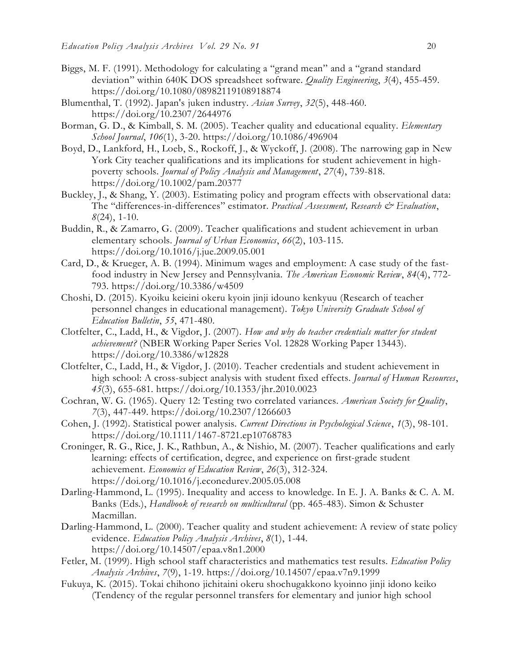- Biggs, M. F. (1991). Methodology for calculating a "grand mean" and a "grand standard deviation" within 640K DOS spreadsheet software. *Quality Engineering*, *3*(4), 455-459. https://doi.org/10.1080/08982119108918874
- Blumenthal, T. (1992). Japan's juken industry. *Asian Survey*, *32*(5), 448-460. https://doi.org/10.2307/2644976
- Borman, G. D., & Kimball, S. M. (2005). Teacher quality and educational equality. *Elementary School Journal*, *106*(1), 3-20. https://doi.org/10.1086/496904
- Boyd, D., Lankford, H., Loeb, S., Rockoff, J., & Wyckoff, J. (2008). The narrowing gap in New York City teacher qualifications and its implications for student achievement in highpoverty schools. *Journal of Policy Analysis and Management*, *27*(4), 739-818. https://doi.org/10.1002/pam.20377
- Buckley, J., & Shang, Y. (2003). Estimating policy and program effects with observational data: The "differences-in-differences" estimator. *Practical Assessment*, Research & Evaluation, *8*(24), 1-10.
- Buddin, R., & Zamarro, G. (2009). Teacher qualifications and student achievement in urban elementary schools. *Journal of Urban Economics*, *66*(2), 103-115. https://doi.org/10.1016/j.jue.2009.05.001
- Card, D., & Krueger, A. B. (1994). Minimum wages and employment: A case study of the fastfood industry in New Jersey and Pennsylvania. *The American Economic Review*, *84*(4), 772- 793. https://doi.org/10.3386/w4509
- Choshi, D. (2015). Kyoiku keieini okeru kyoin jinji idouno kenkyuu (Research of teacher personnel changes in educational management). *Tokyo University Graduate School of Education Bulletin*, *55*, 471-480.
- Clotfelter, C., Ladd, H., & Vigdor, J. (2007). *How and why do teacher credentials matter for student achievement?* (NBER Working Paper Series Vol. 12828 Working Paper 13443). https://doi.org/10.3386/w12828
- Clotfelter, C., Ladd, H., & Vigdor, J. (2010). Teacher credentials and student achievement in high school: A cross-subject analysis with student fixed effects. *Journal of Human Resources*, *45*(3), 655-681. https://doi.org/10.1353/jhr.2010.0023
- Cochran, W. G. (1965). Query 12: Testing two correlated variances. *American Society for Quality*, *7*(3), 447-449. https://doi.org/10.2307/1266603
- Cohen, J. (1992). Statistical power analysis. *Current Directions in Psychological Science*, *1*(3), 98-101. https://doi.org/10.1111/1467-8721.ep10768783
- Croninger, R. G., Rice, J. K., Rathbun, A., & Nishio, M. (2007). Teacher qualifications and early learning: effects of certification, degree, and experience on first-grade student achievement. *Economics of Education Review*, *26*(3), 312-324. https://doi.org/10.1016/j.econedurev.2005.05.008
- Darling-Hammond, L. (1995). Inequality and access to knowledge. In E. J. A. Banks & C. A. M. Banks (Eds.), *Handbook of research on multicultural* (pp. 465-483). Simon & Schuster Macmillan.
- Darling-Hammond, L. (2000). Teacher quality and student achievement: A review of state policy evidence. *Education Policy Analysis Archives*, *8*(1), 1-44. https://doi.org/10.14507/epaa.v8n1.2000
- Fetler, M. (1999). High school staff characteristics and mathematics test results. *Education Policy Analysis Archives*, *7*(9), 1-19. https://doi.org/10.14507/epaa.v7n9.1999
- Fukuya, K. (2015). Tokai chihono jichitaini okeru shochugakkono kyoinno jinji idono keiko (Tendency of the regular personnel transfers for elementary and junior high school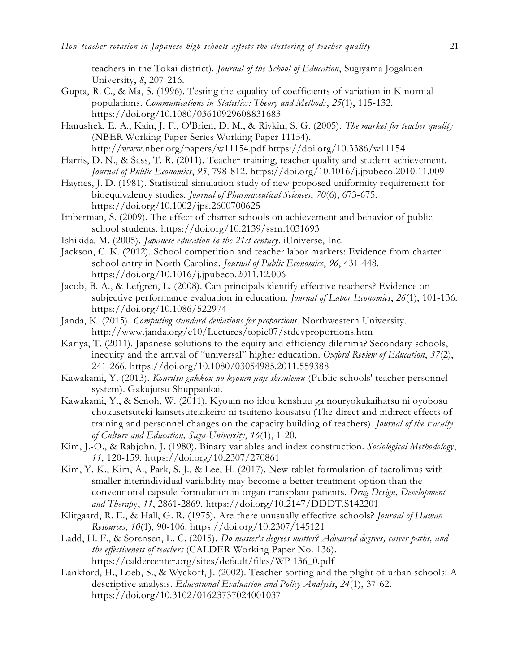teachers in the Tokai district). *Journal of the School of Education*, Sugiyama Jogakuen University, *8*, 207-216.

- Gupta, R. C., & Ma, S. (1996). Testing the equality of coefficients of variation in K normal populations. *Communications in Statistics: Theory and Methods*, *25*(1), 115-132. https://doi.org/10.1080/03610929608831683
- Hanushek, E. A., Kain, J. F., O'Brien, D. M., & Rivkin, S. G. (2005). *The market for teacher quality* (NBER Working Paper Series Working Paper 11154). http://www.nber.org/papers/w11154.pdf https://doi.org/10.3386/w11154
- Harris, D. N., & Sass, T. R. (2011). Teacher training, teacher quality and student achievement. *Journal of Public Economics*, *95*, 798-812. https://doi.org/10.1016/j.jpubeco.2010.11.009
- Haynes, J. D. (1981). Statistical simulation study of new proposed uniformity requirement for bioequivalency studies. *Journal of Pharmaceutical Sciences*, *70*(6), 673-675. https://doi.org/10.1002/jps.2600700625
- Imberman, S. (2009). The effect of charter schools on achievement and behavior of public school students. https://doi.org/10.2139/ssrn.1031693
- Ishikida, M. (2005). *Japanese education in the 21st century*. iUniverse, Inc.
- Jackson, C. K. (2012). School competition and teacher labor markets: Evidence from charter school entry in North Carolina. *Journal of Public Economics*, *96*, 431-448. https://doi.org/10.1016/j.jpubeco.2011.12.006
- Jacob, B. A., & Lefgren, L. (2008). Can principals identify effective teachers? Evidence on subjective performance evaluation in education. *Journal of Labor Economics*, *26*(1), 101-136. https://doi.org/10.1086/522974
- Janda, K. (2015). *Computing standard deviations for proportions.* Northwestern University. http://www.janda.org/c10/Lectures/topic07/stdevproportions.htm
- Kariya, T. (2011). Japanese solutions to the equity and efficiency dilemma? Secondary schools, inequity and the arrival of "universal" higher education. *Oxford Review of Education*, *37*(2), 241-266. https://doi.org/10.1080/03054985.2011.559388
- Kawakami, Y. (2013). *Kouritsu gakkou no kyouin jinji shisutemu* (Public schools' teacher personnel system). Gakujutsu Shuppankai.
- Kawakami, Y., & Senoh, W. (2011). Kyouin no idou kenshuu ga nouryokukaihatsu ni oyobosu chokusetsuteki kansetsutekikeiro ni tsuiteno kousatsu (The direct and indirect effects of training and personnel changes on the capacity building of teachers). *Journal of the Faculty of Culture and Education, Saga-University*, *16*(1), 1-20.
- Kim, J.-O., & Rabjohn, J. (1980). Binary variables and index construction. *Sociological Methodology*, *11*, 120-159. https://doi.org/10.2307/270861
- Kim, Y. K., Kim, A., Park, S. J., & Lee, H. (2017). New tablet formulation of tacrolimus with smaller interindividual variability may become a better treatment option than the conventional capsule formulation in organ transplant patients. *Drug Design, Development and Therap*y, *11*, 2861-2869. https://doi.org/10.2147/DDDT.S142201
- Klitgaard, R. E., & Hall, G. R. (1975). Are there unusually effective schools? *Journal of Human Resources*, *10*(1), 90-106. https://doi.org/10.2307/145121
- Ladd, H. F., & Sorensen, L. C. (2015). *Do master's degrees matter? Advanced degrees, career paths, and the effectiveness of teachers* (CALDER Working Paper No. 136). https://caldercenter.org/sites/default/files/WP 136\_0.pdf
- Lankford, H., Loeb, S., & Wyckoff, J. (2002). Teacher sorting and the plight of urban schools: A descriptive analysis. *Educational Evaluation and Policy Analysis*, *24*(1), 37-62. https://doi.org/10.3102/01623737024001037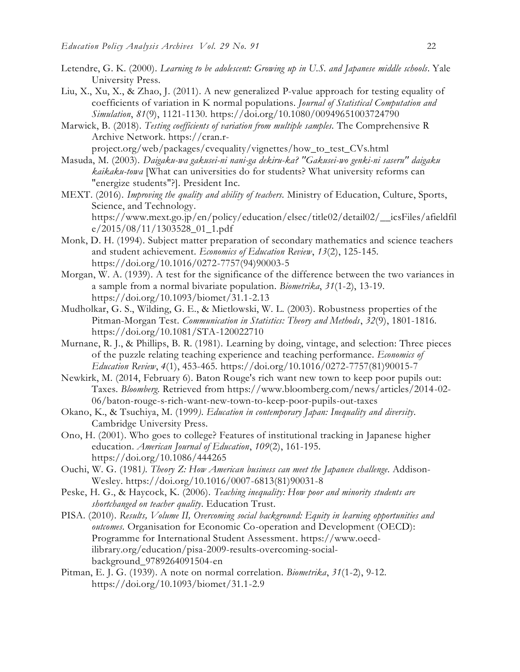- Letendre, G. K. (2000). *Learning to be adolescent: Growing up in U.S. and Japanese middle schools*. Yale University Press.
- Liu, X., Xu, X., & Zhao, J. (2011). A new generalized P-value approach for testing equality of coefficients of variation in K normal populations. *Journal of Statistical Computation and Simulation*, *81*(9), 1121-1130. https://doi.org/10.1080/00949651003724790
- Marwick, B. (2018). *Testing coefficients of variation from multiple samples.* The Comprehensive R Archive Network. https://cran.r-

project.org/web/packages/cvequality/vignettes/how\_to\_test\_CVs.html

- Masuda, M. (2003). *Daigaku-wa gakusei-ni nani-ga dekiru-ka? "Gakusei-wo genki-ni saseru" daigaku kaikaku-towa* [What can universities do for students? What university reforms can "energize students"?]. President Inc.
- MEXT. (2016). *Improving the quality and ability of teachers.* Ministry of Education, Culture, Sports, Science, and Technology. https://www.mext.go.jp/en/policy/education/elsec/title02/detail02/\_\_icsFiles/afieldfil e/2015/08/11/1303528\_01\_1.pdf
- Monk, D. H. (1994). Subject matter preparation of secondary mathematics and science teachers and student achievement. *Economics of Education Review*, *13*(2), 125-145. https://doi.org/10.1016/0272-7757(94)90003-5
- Morgan, W. A. (1939). A test for the significance of the difference between the two variances in a sample from a normal bivariate population. *Biometrika*, *31*(1-2), 13-19. https://doi.org/10.1093/biomet/31.1-2.13
- Mudholkar, G. S., Wilding, G. E., & Mietlowski, W. L. (2003). Robustness properties of the Pitman-Morgan Test. *Communication in Statistics: Theory and Methods*, *32*(9), 1801-1816. https://doi.org/10.1081/STA-120022710
- Murnane, R. J., & Phillips, B. R. (1981). Learning by doing, vintage, and selection: Three pieces of the puzzle relating teaching experience and teaching performance. *Economics of Education Review*, *4*(1), 453-465. https://doi.org/10.1016/0272-7757(81)90015-7
- Newkirk, M. (2014, February 6). Baton Rouge's rich want new town to keep poor pupils out: Taxes. *Bloomberg*. Retrieved from https://www.bloomberg.com/news/articles/2014-02- 06/baton-rouge-s-rich-want-new-town-to-keep-poor-pupils-out-taxes
- Okano, K., & Tsuchiya, M. (1999*). Education in contemporary Japan: Inequality and diversity*. Cambridge University Press.
- Ono, H. (2001). Who goes to college? Features of institutional tracking in Japanese higher education. *American Journal of Education*, *109*(2), 161-195. https://doi.org/10.1086/444265
- Ouchi, W. G. (1981*). Theory Z: How American business can meet the Japanese challenge*. Addison-Wesley. https://doi.org/10.1016/0007-6813(81)90031-8
- Peske, H. G., & Haycock, K. (2006). *Teaching inequality: How poor and minority students are shortchanged on teacher quality*. Education Trust.
- PISA. (2010). *Results, Volume II, Overcoming social background: Equity in learning opportunities and outcomes.* Organisation for Economic Co-operation and Development (OECD): Programme for International Student Assessment. https://www.oecdilibrary.org/education/pisa-2009-results-overcoming-socialbackground\_9789264091504-en
- Pitman, E. J. G. (1939). A note on normal correlation. *Biometrika*, *31*(1-2), 9-12. https://doi.org/10.1093/biomet/31.1-2.9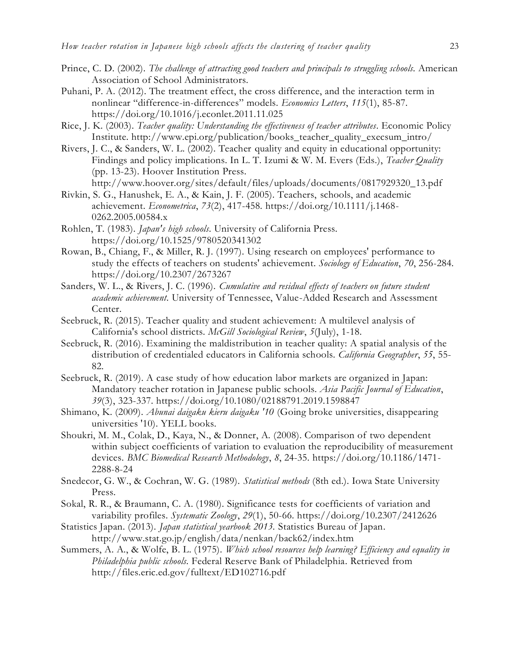- Prince, C. D. (2002). *The challenge of attracting good teachers and principals to struggling schools.* American Association of School Administrators.
- Puhani, P. A. (2012). The treatment effect, the cross difference, and the interaction term in nonlinear "difference-in-differences" models. *Economics Letters*, *115*(1), 85-87. https://doi.org/10.1016/j.econlet.2011.11.025
- Rice, J. K. (2003). *Teacher quality: Understanding the effectiveness of teacher attributes*. Economic Policy Institute. http://www.epi.org/publication/books\_teacher\_quality\_execsum\_intro/
- Rivers, J. C., & Sanders, W. L. (2002). Teacher quality and equity in educational opportunity: Findings and policy implications. In L. T. Izumi & W. M. Evers (Eds.), *Teacher Quality* (pp. 13-23). Hoover Institution Press.

```
http://www.hoover.org/sites/default/files/uploads/documents/0817929320_13.pdf
```
- Rivkin, S. G., Hanushek, E. A., & Kain, J. F. (2005). Teachers, schools, and academic achievement. *Econometrica*, *73*(2), 417-458. https://doi.org/10.1111/j.1468- 0262.2005.00584.x
- Rohlen, T. (1983). *Japan's high schools*. University of California Press. https://doi.org/10.1525/9780520341302
- Rowan, B., Chiang, F., & Miller, R. J. (1997). Using research on employees' performance to study the effects of teachers on students' achievement. *Sociology of Education*, *70*, 256-284. https://doi.org/10.2307/2673267
- Sanders, W. L., & Rivers, J. C. (1996). *Cumulative and residual effects of teachers on future student academic achievement*. University of Tennessee, Value-Added Research and Assessment Center.
- Seebruck, R. (2015). Teacher quality and student achievement: A multilevel analysis of California's school districts. *McGill Sociological Review*, *5*(July), 1-18.
- Seebruck, R. (2016). Examining the maldistribution in teacher quality: A spatial analysis of the distribution of credentialed educators in California schools. *California Geographer*, *55*, 55- 82.
- Seebruck, R. (2019). A case study of how education labor markets are organized in Japan: Mandatory teacher rotation in Japanese public schools. *Asia Pacific Journal of Education*, *39*(3), 323-337. https://doi.org/10.1080/02188791.2019.1598847
- Shimano, K. (2009). *Abunai daigaku kieru daigaku '10* (Going broke universities, disappearing universities '10). YELL books.
- Shoukri, M. M., Colak, D., Kaya, N., & Donner, A. (2008). Comparison of two dependent within subject coefficients of variation to evaluation the reproducibility of measurement devices. *BMC Biomedical Research Methodology*, *8*, 24-35. https://doi.org/10.1186/1471- 2288-8-24
- Snedecor, G. W., & Cochran, W. G. (1989). *Statistical methods* (8th ed.). Iowa State University Press.
- Sokal, R. R., & Braumann, C. A. (1980). Significance tests for coefficients of variation and variability profiles. *Systematic Zoology*, *29*(1), 50-66. https://doi.org/10.2307/2412626
- Statistics Japan. (2013). *Japan statistical yearbook 2013.* Statistics Bureau of Japan. http://www.stat.go.jp/english/data/nenkan/back62/index.htm
- Summers, A. A., & Wolfe, B. L. (1975). *Which school resources help learning? Efficiency and equality in Philadelphia public schools.* Federal Reserve Bank of Philadelphia. Retrieved from http://files.eric.ed.gov/fulltext/ED102716.pdf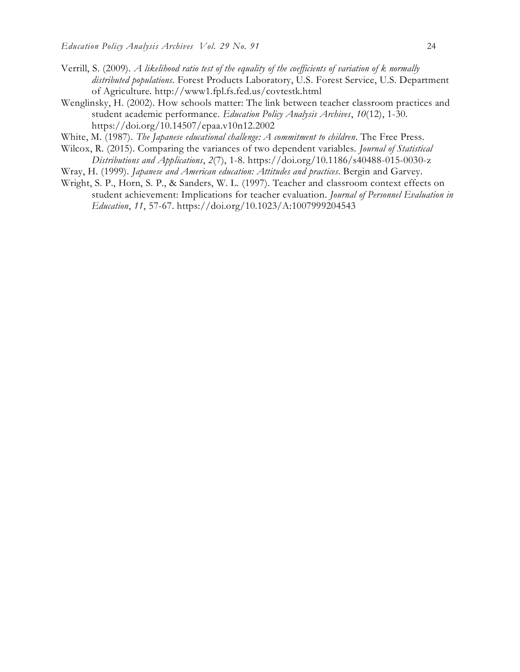- Verrill, S. (2009). *A likelihood ratio test of the equality of the coefficients of variation of k normally distributed populations*. Forest Products Laboratory, U.S. Forest Service, U.S. Department of Agriculture*.* http://www1.fpl.fs.fed.us/covtestk.html
- Wenglinsky, H. (2002). How schools matter: The link between teacher classroom practices and student academic performance. *Education Policy Analysis Archives*, *10*(12), 1-30. https://doi.org/10.14507/epaa.v10n12.2002
- White, M. (1987). *The Japanese educational challenge: A commitment to children*. The Free Press.
- Wilcox, R. (2015). Comparing the variances of two dependent variables. *Journal of Statistical Distributions and Applications*, *2*(7), 1-8. https://doi.org/10.1186/s40488-015-0030-z
- Wray, H. (1999). *Japanese and American education: Attitudes and practices*. Bergin and Garvey.
- Wright, S. P., Horn, S. P., & Sanders, W. L. (1997). Teacher and classroom context effects on student achievement: Implications for teacher evaluation. *Journal of Personnel Evaluation in Education*, *11*, 57-67. https://doi.org/10.1023/A:1007999204543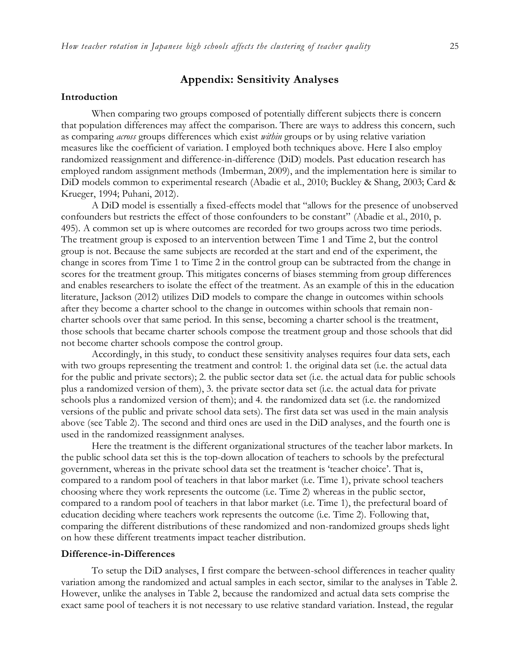# **Appendix: Sensitivity Analyses**

#### **Introduction**

When comparing two groups composed of potentially different subjects there is concern that population differences may affect the comparison. There are ways to address this concern, such as comparing *across* groups differences which exist *within* groups or by using relative variation measures like the coefficient of variation. I employed both techniques above. Here I also employ randomized reassignment and difference-in-difference (DiD) models. Past education research has employed random assignment methods (Imberman, 2009), and the implementation here is similar to DiD models common to experimental research (Abadie et al., 2010; Buckley & Shang, 2003; Card & Krueger, 1994; Puhani, 2012).

A DiD model is essentially a fixed-effects model that "allows for the presence of unobserved confounders but restricts the effect of those confounders to be constant" (Abadie et al., 2010, p. 495). A common set up is where outcomes are recorded for two groups across two time periods. The treatment group is exposed to an intervention between Time 1 and Time 2, but the control group is not. Because the same subjects are recorded at the start and end of the experiment, the change in scores from Time 1 to Time 2 in the control group can be subtracted from the change in scores for the treatment group. This mitigates concerns of biases stemming from group differences and enables researchers to isolate the effect of the treatment. As an example of this in the education literature, Jackson (2012) utilizes DiD models to compare the change in outcomes within schools after they become a charter school to the change in outcomes within schools that remain noncharter schools over that same period. In this sense, becoming a charter school is the treatment, those schools that became charter schools compose the treatment group and those schools that did not become charter schools compose the control group.

Accordingly, in this study, to conduct these sensitivity analyses requires four data sets, each with two groups representing the treatment and control: 1. the original data set (i.e. the actual data for the public and private sectors); 2. the public sector data set (i.e. the actual data for public schools plus a randomized version of them), 3. the private sector data set (i.e. the actual data for private schools plus a randomized version of them); and 4. the randomized data set (i.e. the randomized versions of the public and private school data sets). The first data set was used in the main analysis above (see Table 2). The second and third ones are used in the DiD analyses, and the fourth one is used in the randomized reassignment analyses.

Here the treatment is the different organizational structures of the teacher labor markets. In the public school data set this is the top-down allocation of teachers to schools by the prefectural government, whereas in the private school data set the treatment is 'teacher choice'. That is, compared to a random pool of teachers in that labor market (i.e. Time 1), private school teachers choosing where they work represents the outcome (i.e. Time 2) whereas in the public sector, compared to a random pool of teachers in that labor market (i.e. Time 1), the prefectural board of education deciding where teachers work represents the outcome (i.e. Time 2). Following that, comparing the different distributions of these randomized and non-randomized groups sheds light on how these different treatments impact teacher distribution.

#### **Difference-in-Differences**

To setup the DiD analyses, I first compare the between-school differences in teacher quality variation among the randomized and actual samples in each sector, similar to the analyses in Table 2. However, unlike the analyses in Table 2, because the randomized and actual data sets comprise the exact same pool of teachers it is not necessary to use relative standard variation. Instead, the regular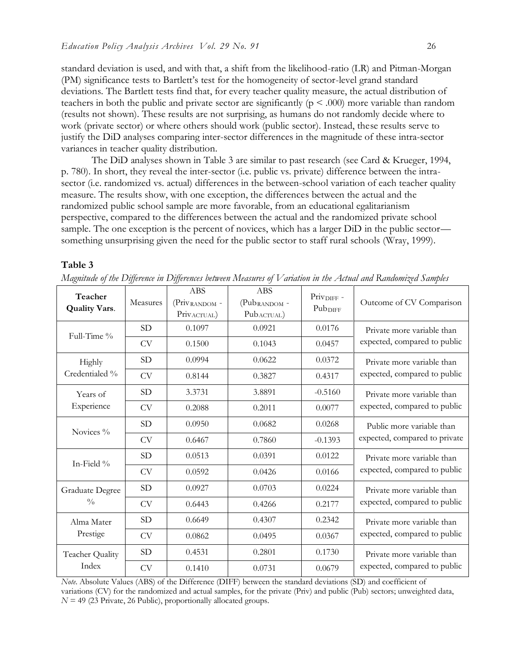standard deviation is used, and with that, a shift from the likelihood-ratio (LR) and Pitman-Morgan (PM) significance tests to Bartlett's test for the homogeneity of sector-level grand standard deviations. The Bartlett tests find that, for every teacher quality measure, the actual distribution of teachers in both the public and private sector are significantly ( $p < .000$ ) more variable than random (results not shown). These results are not surprising, as humans do not randomly decide where to work (private sector) or where others should work (public sector). Instead, these results serve to justify the DiD analyses comparing inter-sector differences in the magnitude of these intra-sector variances in teacher quality distribution.

The DiD analyses shown in Table 3 are similar to past research (see Card & Krueger, 1994, p. 780). In short, they reveal the inter-sector (i.e. public vs. private) difference between the intrasector (i.e. randomized vs. actual) differences in the between-school variation of each teacher quality measure. The results show, with one exception, the differences between the actual and the randomized public school sample are more favorable, from an educational egalitarianism perspective, compared to the differences between the actual and the randomized private school sample. The one exception is the percent of novices, which has a larger DiD in the public sector something unsurprising given the need for the public sector to staff rural schools (Wray, 1999).

#### **Table 3**

| Teacher<br><b>Quality Vars.</b> | Measures  | <b>ABS</b><br>(Priv.RANDOM -<br>Priv.ACTUAL) | <b>ABS</b><br>(Pub <sub>RANDOM</sub> -<br>Pub <sub>ACTUAL</sub> ) | Priv <sub>DIFF</sub> -<br>Pub <sub>DIFF</sub> | Outcome of CV Comparison                                   |  |
|---------------------------------|-----------|----------------------------------------------|-------------------------------------------------------------------|-----------------------------------------------|------------------------------------------------------------|--|
| Full-Time %                     | <b>SD</b> | 0.1097                                       | 0.0921                                                            | 0.0176                                        | Private more variable than                                 |  |
|                                 | <b>CV</b> | 0.1500                                       | 0.1043                                                            | 0.0457                                        | expected, compared to public                               |  |
| <b>Highly</b><br>Credentialed % | <b>SD</b> | 0.0994                                       | 0.0622                                                            | 0.0372                                        | Private more variable than<br>expected, compared to public |  |
|                                 | <b>CV</b> | 0.8144                                       | 0.3827                                                            | 0.4317                                        |                                                            |  |
| Years of                        | <b>SD</b> | 3.3731                                       | 3.8891                                                            | $-0.5160$                                     | Private more variable than<br>expected, compared to public |  |
| Experience                      | <b>CV</b> | 0.2088                                       | 0.2011                                                            | 0.0077                                        |                                                            |  |
| Novices %                       | <b>SD</b> | 0.0950                                       | 0.0682                                                            | 0.0268                                        | Public more variable than                                  |  |
|                                 | CV        | 0.6467                                       | 0.7860                                                            | $-0.1393$                                     | expected, compared to private                              |  |
| In-Field %                      | <b>SD</b> | 0.0513                                       | 0.0391                                                            | 0.0122                                        | Private more variable than<br>expected, compared to public |  |
|                                 | <b>CV</b> | 0.0592                                       | 0.0426                                                            | 0.0166                                        |                                                            |  |
| <b>Graduate Degree</b>          | <b>SD</b> | 0.0927                                       | 0.0703                                                            | 0.0224                                        | Private more variable than<br>expected, compared to public |  |
| $\frac{0}{0}$                   | <b>CV</b> | 0.6443                                       | 0.4266                                                            | 0.2177                                        |                                                            |  |
| Alma Mater<br>Prestige          | <b>SD</b> | 0.6649                                       | 0.4307                                                            | 0.2342                                        | Private more variable than<br>expected, compared to public |  |
|                                 | CV        | 0.0862                                       | 0.0495                                                            | 0.0367                                        |                                                            |  |
| Teacher Quality<br>Index        | <b>SD</b> | 0.4531                                       | 0.2801                                                            | 0.1730                                        | Private more variable than                                 |  |
|                                 | <b>CV</b> | 0.1410                                       | 0.0731                                                            | 0.0679                                        | expected, compared to public                               |  |

*Magnitude of the Difference in Differences between Measures of Variation in the Actual and Randomized Samples*

*Note*. Absolute Values (ABS) of the Difference (DIFF) between the standard deviations (SD) and coefficient of variations (CV) for the randomized and actual samples, for the private (Priv) and public (Pub) sectors; unweighted data,  $N = 49$  (23 Private, 26 Public), proportionally allocated groups.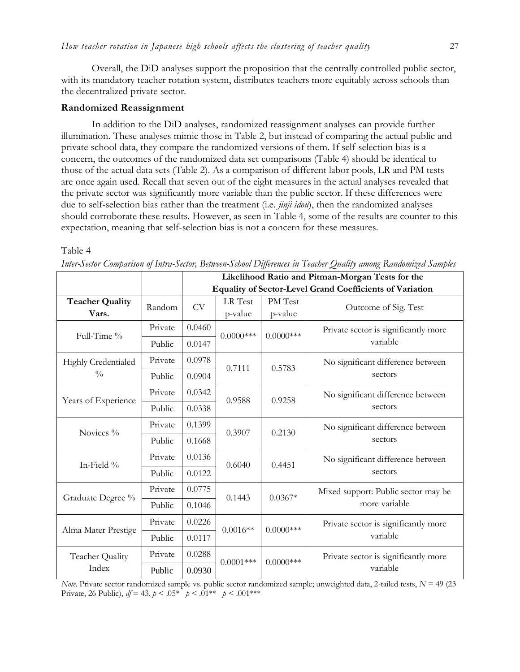Overall, the DiD analyses support the proposition that the centrally controlled public sector, with its mandatory teacher rotation system, distributes teachers more equitably across schools than the decentralized private sector.

#### **Randomized Reassignment**

In addition to the DiD analyses, randomized reassignment analyses can provide further illumination. These analyses mimic those in Table 2, but instead of comparing the actual public and private school data, they compare the randomized versions of them. If self-selection bias is a concern, the outcomes of the randomized data set comparisons (Table 4) should be identical to those of the actual data sets (Table 2). As a comparison of different labor pools, LR and PM tests are once again used. Recall that seven out of the eight measures in the actual analyses revealed that the private sector was significantly more variable than the public sector. If these differences were due to self-selection bias rather than the treatment (i.e. *jinji idou*), then the randomized analyses should corroborate these results. However, as seen in Table 4, some of the results are counter to this expectation, meaning that self-selection bias is not a concern for these measures.

#### Table 4

|                                      |         | Likelihood Ratio and Pitman-Morgan Tests for the                |              |              |                                                      |  |
|--------------------------------------|---------|-----------------------------------------------------------------|--------------|--------------|------------------------------------------------------|--|
|                                      |         | <b>Equality of Sector-Level Grand Coefficients of Variation</b> |              |              |                                                      |  |
| <b>Teacher Quality</b>               | Random  | <b>CV</b>                                                       | LR Test      | PM Test      | Outcome of Sig. Test                                 |  |
| Vars.                                |         |                                                                 | p-value      | p-value      |                                                      |  |
| Full-Time %                          | Private | 0.0460                                                          | $0.0000$ *** | $0.0000$ *** | Private sector is significantly more<br>variable     |  |
|                                      | Public  | 0.0147                                                          |              |              |                                                      |  |
| Highly Credentialed<br>$\frac{0}{0}$ | Private | 0.0978                                                          | 0.7111       | 0.5783       | No significant difference between                    |  |
|                                      | Public  | 0.0904                                                          |              |              | sectors                                              |  |
| Years of Experience                  | Private | 0.0342                                                          | 0.9588       | 0.9258       | No significant difference between                    |  |
|                                      | Public  | 0.0338                                                          |              |              | sectors                                              |  |
| Novices %                            | Private | 0.1399                                                          | 0.3907       | 0.2130       | No significant difference between<br>sectors         |  |
|                                      | Public  | 0.1668                                                          |              |              |                                                      |  |
| In-Field %                           | Private | 0.0136                                                          | 0.6040       | 0.4451       | No significant difference between<br>sectors         |  |
|                                      | Public  | 0.0122                                                          |              |              |                                                      |  |
| Graduate Degree %                    | Private | 0.0775                                                          | 0.1443       | $0.0367*$    | Mixed support: Public sector may be<br>more variable |  |
|                                      | Public  | 0.1046                                                          |              |              |                                                      |  |
| Alma Mater Prestige                  | Private | 0.0226                                                          | $0.0016**$   | $0.0000$ *** | Private sector is significantly more                 |  |
|                                      | Public  | 0.0117                                                          |              |              | variable                                             |  |
| Teacher Quality<br>Index             | Private | 0.0288                                                          |              | $0.0000$ *** | Private sector is significantly more                 |  |
|                                      | Public  | 0.0930                                                          | $0.0001$ *** |              | variable                                             |  |

*Inter-Sector Comparison of Intra-Sector, Between-School Differences in Teacher Quality among Randomized Samples*

*Note*. Private sector randomized sample vs. public sector randomized sample; unweighted data, 2-tailed tests, *N* = 49 (23 Private, 26 Public),  $df = 43$ ,  $p < .05^*$   $p < .01^{**}$   $p < .001^{***}$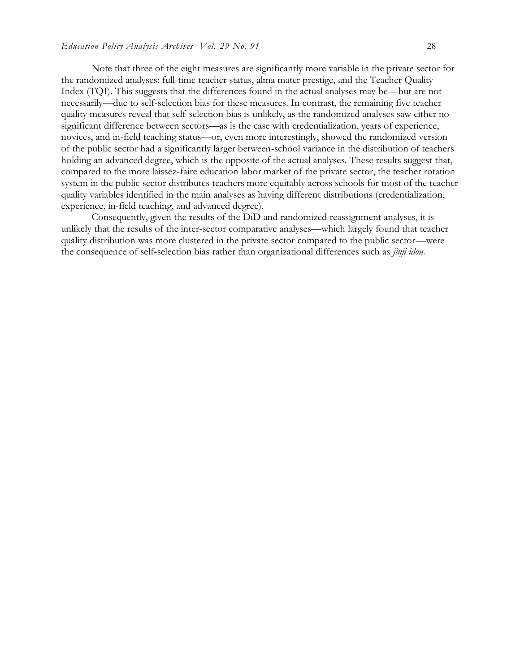Note that three of the eight measures are significantly more variable in the private sector for the randomized analyses: full-time teacher status, alma mater prestige, and the Teacher Quality Index (TQI). This suggests that the differences found in the actual analyses may be—but are not necessarily—due to self-selection bias for these measures. In contrast, the remaining five teacher quality measures reveal that self-selection bias is unlikely, as the randomized analyses saw either no significant difference between sectors—as is the case with credentialization, years of experience, novices, and in-field teaching status—or, even more interestingly, showed the randomized version of the public sector had a significantly larger between-school variance in the distribution of teachers holding an advanced degree, which is the opposite of the actual analyses. These results suggest that, compared to the more laissez-faire education labor market of the private sector, the teacher rotation system in the public sector distributes teachers more equitably across schools for most of the teacher quality variables identified in the main analyses as having different distributions (credentialization, experience, in-field teaching, and advanced degree).

Consequently, given the results of the DiD and randomized reassignment analyses, it is unlikely that the results of the inter-sector comparative analyses—which largely found that teacher quality distribution was more clustered in the private sector compared to the public sector—were the consequence of self-selection bias rather than organizational differences such as *jinji idou*.